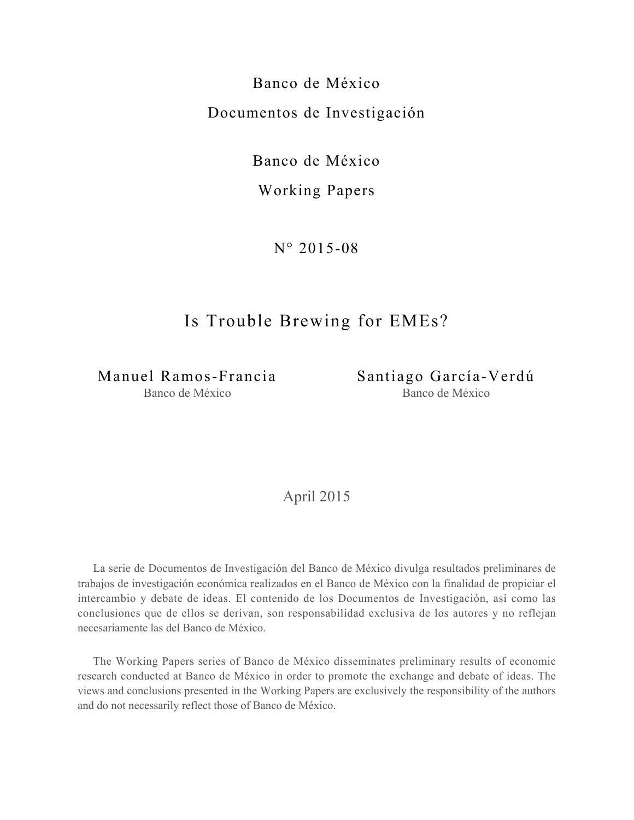Banco de México Documentos de Investigación

Banco de México

Working Papers

N° 2015-08

# Is Trouble Brewing for EMEs?

Manuel Ramos-Francia Banco de México

Santiago García-Verdú Banco de México

April 2015

La serie de Documentos de Investigación del Banco de México divulga resultados preliminares de trabajos de investigación económica realizados en el Banco de México con la finalidad de propiciar el intercambio y debate de ideas. El contenido de los Documentos de Investigación, así como las conclusiones que de ellos se derivan, son responsabilidad exclusiva de los autores y no reflejan necesariamente las del Banco de México.

The Working Papers series of Banco de México disseminates preliminary results of economic research conducted at Banco de México in order to promote the exchange and debate of ideas. The views and conclusions presented in the Working Papers are exclusively the responsibility of the authors and do not necessarily reflect those of Banco de México.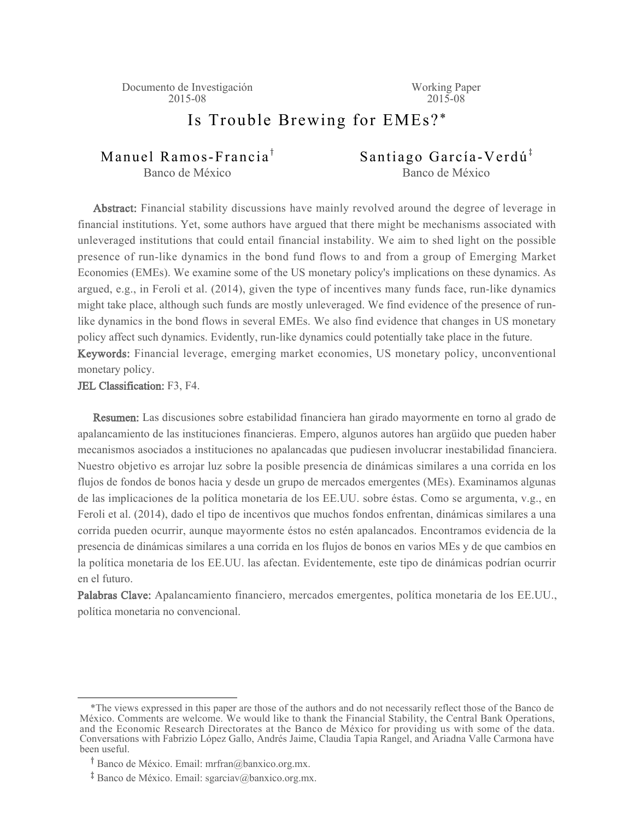Documento de Investigación 2015-08

Working Paper  $2015 - 08$ 

# Is Trouble Brewing for EMEs? \*

Manuel Ramos-Francia<sup>†</sup> Banco de México

Santiago García-Verdú<sup>‡</sup> Banco de México

Abstract: Financial stability discussions have mainly revolved around the degree of leverage in financial institutions. Yet, some authors have argued that there might be mechanisms associated with unleveraged institutions that could entail financial instability. We aim to shed light on the possible presence of run-like dynamics in the bond fund flows to and from a group of Emerging Market Economies (EMEs). We examine some of the US monetary policy's implications on these dynamics. As argued, e.g., in Feroli et al. (2014), given the type of incentives many funds face, run-like dynamics might take place, although such funds are mostly unleveraged. We find evidence of the presence of runlike dynamics in the bond flows in several EMEs. We also find evidence that changes in US monetary policy affect such dynamics. Evidently, run-like dynamics could potentially take place in the future. Keywords: Financial leverage, emerging market economies, US monetary policy, unconventional monetary policy.

JEL Classification: F3, F4.

Resumen: Las discusiones sobre estabilidad financiera han girado mayormente en torno al grado de apalancamiento de las instituciones financieras. Empero, algunos autores han argüido que pueden haber mecanismos asociados a instituciones no apalancadas que pudiesen involucrar inestabilidad financiera. Nuestro objetivo es arrojar luz sobre la posible presencia de dinámicas similares a una corrida en los flujos de fondos de bonos hacia y desde un grupo de mercados emergentes (MEs). Examinamos algunas de las implicaciones de la política monetaria de los EE.UU. sobre éstas. Como se argumenta, v.g., en Feroli et al. (2014), dado el tipo de incentivos que muchos fondos enfrentan, dinámicas similares a una corrida pueden ocurrir, aunque mayormente éstos no estén apalancados. Encontramos evidencia de la presencia de dinámicas similares a una corrida en los flujos de bonos en varios MEs y de que cambios en la política monetaria de los EE.UU. las afectan. Evidentemente, este tipo de dinámicas podrían ocurrir en el futuro.

Palabras Clave: Apalancamiento financiero, mercados emergentes, política monetaria de los EE.UU., política monetaria no convencional.

 <sup>\*</sup>The views expressed in this paper are those of the authors and do not necessarily reflect those of the Banco de México. Comments are welcome. We would like to thank the Financial Stability, the Central Bank Operations, and the Economic Research Directorates at the Banco de México for providing us with some of the data. Conversations with Fabrizio López Gallo, Andrés Jaime, Claudia Tapia Rangel, and Ariadna Valle Carmona have been useful.

<sup>&</sup>lt;sup>T</sup> Banco de México. Email: mrfran@banxico.org.mx.

<sup>&</sup>lt;sup>‡</sup> Banco de México. Email: sgarciav@banxico.org.mx.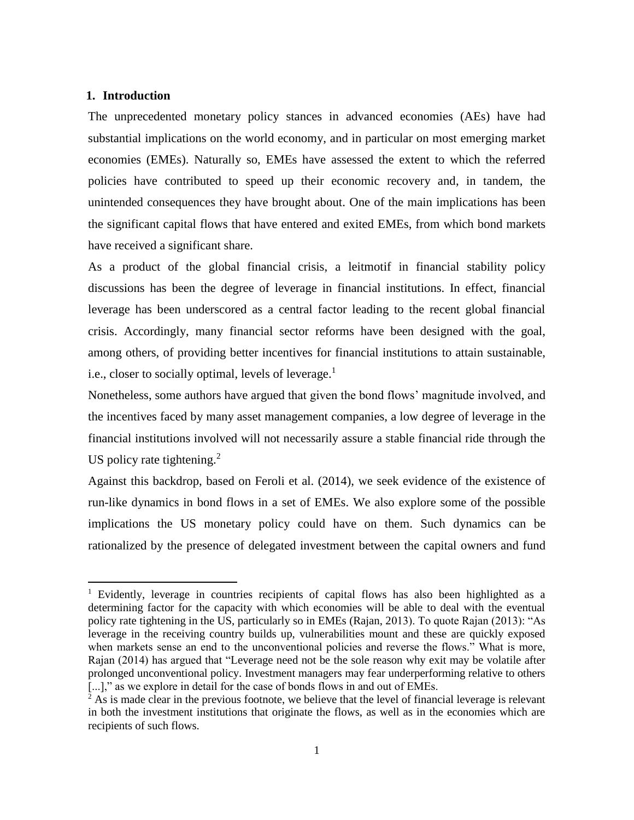### **1. Introduction**

 $\overline{a}$ 

The unprecedented monetary policy stances in advanced economies (AEs) have had substantial implications on the world economy, and in particular on most emerging market economies (EMEs). Naturally so, EMEs have assessed the extent to which the referred policies have contributed to speed up their economic recovery and, in tandem, the unintended consequences they have brought about. One of the main implications has been the significant capital flows that have entered and exited EMEs, from which bond markets have received a significant share.

As a product of the global financial crisis, a leitmotif in financial stability policy discussions has been the degree of leverage in financial institutions. In effect, financial leverage has been underscored as a central factor leading to the recent global financial crisis. Accordingly, many financial sector reforms have been designed with the goal, among others, of providing better incentives for financial institutions to attain sustainable, i.e., closer to socially optimal, levels of leverage.<sup>1</sup>

Nonetheless, some authors have argued that given the bond flows' magnitude involved, and the incentives faced by many asset management companies, a low degree of leverage in the financial institutions involved will not necessarily assure a stable financial ride through the US policy rate tightening. $2$ 

Against this backdrop, based on Feroli et al. (2014), we seek evidence of the existence of run-like dynamics in bond flows in a set of EMEs. We also explore some of the possible implications the US monetary policy could have on them. Such dynamics can be rationalized by the presence of delegated investment between the capital owners and fund

<sup>&</sup>lt;sup>1</sup> Evidently, leverage in countries recipients of capital flows has also been highlighted as a determining factor for the capacity with which economies will be able to deal with the eventual policy rate tightening in the US, particularly so in EMEs (Rajan, 2013). To quote Rajan (2013): "As leverage in the receiving country builds up, vulnerabilities mount and these are quickly exposed when markets sense an end to the unconventional policies and reverse the flows." What is more, Rajan (2014) has argued that "Leverage need not be the sole reason why exit may be volatile after prolonged unconventional policy. Investment managers may fear underperforming relative to others [...]," as we explore in detail for the case of bonds flows in and out of EMEs.

 $2\overline{2}$  As is made clear in the previous footnote, we believe that the level of financial leverage is relevant in both the investment institutions that originate the flows, as well as in the economies which are recipients of such flows.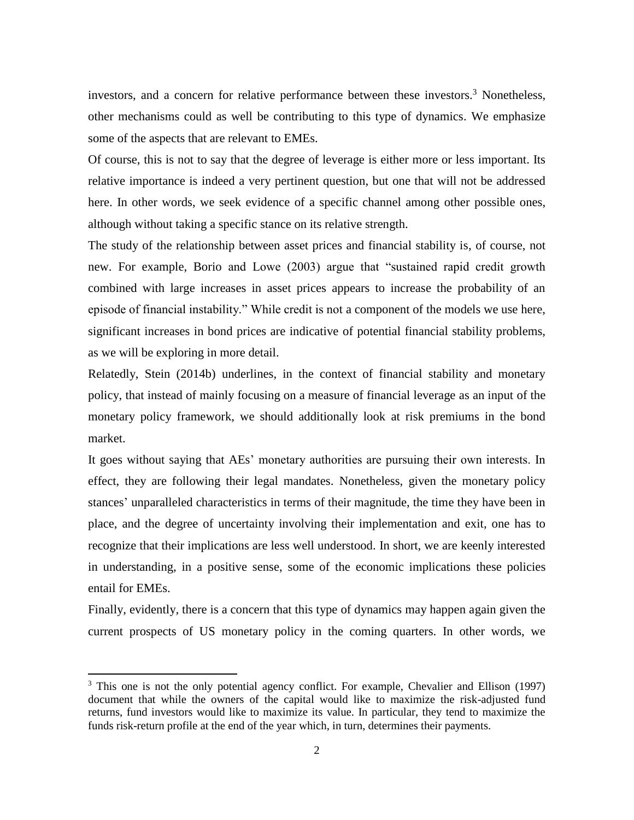investors, and a concern for relative performance between these investors.<sup>3</sup> Nonetheless, other mechanisms could as well be contributing to this type of dynamics. We emphasize some of the aspects that are relevant to EMEs.

Of course, this is not to say that the degree of leverage is either more or less important. Its relative importance is indeed a very pertinent question, but one that will not be addressed here. In other words, we seek evidence of a specific channel among other possible ones, although without taking a specific stance on its relative strength.

The study of the relationship between asset prices and financial stability is, of course, not new. For example, Borio and Lowe (2003) argue that "sustained rapid credit growth combined with large increases in asset prices appears to increase the probability of an episode of financial instability." While credit is not a component of the models we use here, significant increases in bond prices are indicative of potential financial stability problems, as we will be exploring in more detail.

Relatedly, Stein (2014b) underlines, in the context of financial stability and monetary policy, that instead of mainly focusing on a measure of financial leverage as an input of the monetary policy framework, we should additionally look at risk premiums in the bond market.

It goes without saying that AEs' monetary authorities are pursuing their own interests. In effect, they are following their legal mandates. Nonetheless, given the monetary policy stances' unparalleled characteristics in terms of their magnitude, the time they have been in place, and the degree of uncertainty involving their implementation and exit, one has to recognize that their implications are less well understood. In short, we are keenly interested in understanding, in a positive sense, some of the economic implications these policies entail for EMEs.

Finally, evidently, there is a concern that this type of dynamics may happen again given the current prospects of US monetary policy in the coming quarters. In other words, we

 $\overline{a}$ 

<sup>&</sup>lt;sup>3</sup> This one is not the only potential agency conflict. For example, Chevalier and Ellison (1997) document that while the owners of the capital would like to maximize the risk-adjusted fund returns, fund investors would like to maximize its value. In particular, they tend to maximize the funds risk-return profile at the end of the year which, in turn, determines their payments.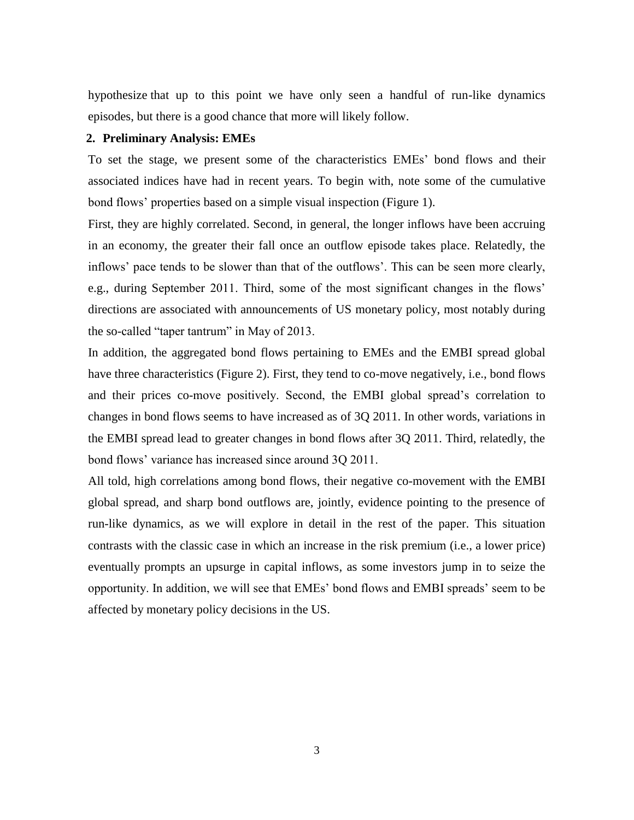hypothesize that up to this point we have only seen a handful of run-like dynamics episodes, but there is a good chance that more will likely follow.

# **2. Preliminary Analysis: EMEs**

To set the stage, we present some of the characteristics EMEs' bond flows and their associated indices have had in recent years. To begin with, note some of the cumulative bond flows' properties based on a simple visual inspection (Figure 1).

First, they are highly correlated. Second, in general, the longer inflows have been accruing in an economy, the greater their fall once an outflow episode takes place. Relatedly, the inflows' pace tends to be slower than that of the outflows'. This can be seen more clearly, e.g., during September 2011. Third, some of the most significant changes in the flows' directions are associated with announcements of US monetary policy, most notably during the so-called "taper tantrum" in May of 2013.

In addition, the aggregated bond flows pertaining to EMEs and the EMBI spread global have three characteristics (Figure 2). First, they tend to co-move negatively, i.e., bond flows and their prices co-move positively. Second, the EMBI global spread's correlation to changes in bond flows seems to have increased as of 3Q 2011. In other words, variations in the EMBI spread lead to greater changes in bond flows after 3Q 2011. Third, relatedly, the bond flows' variance has increased since around 3Q 2011.

All told, high correlations among bond flows, their negative co-movement with the EMBI global spread, and sharp bond outflows are, jointly, evidence pointing to the presence of run-like dynamics, as we will explore in detail in the rest of the paper. This situation contrasts with the classic case in which an increase in the risk premium (i.e., a lower price) eventually prompts an upsurge in capital inflows, as some investors jump in to seize the opportunity. In addition, we will see that EMEs' bond flows and EMBI spreads' seem to be affected by monetary policy decisions in the US.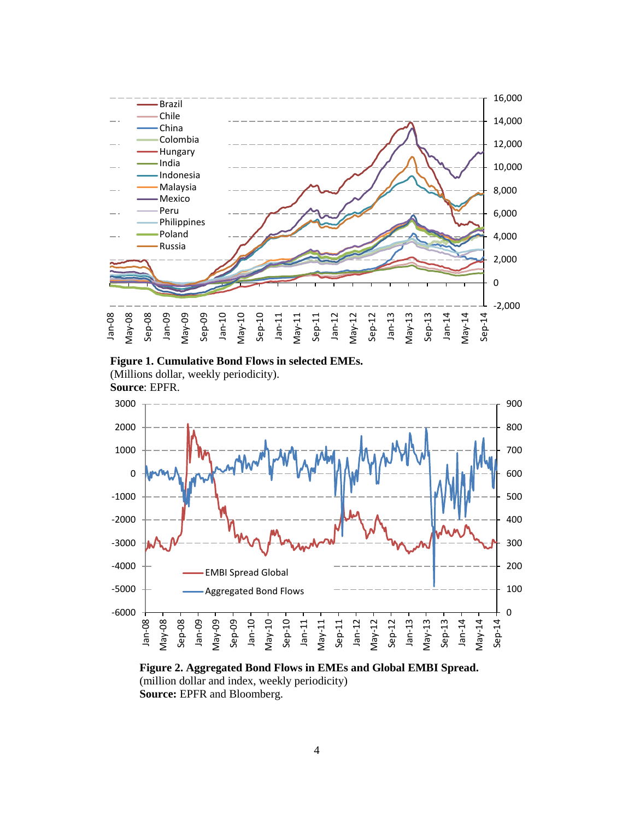

**Figure 1. Cumulative Bond Flows in selected EMEs.** 

(Millions dollar, weekly periodicity). **Source**: EPFR.



**Figure 2. Aggregated Bond Flows in EMEs and Global EMBI Spread.**  (million dollar and index, weekly periodicity) **Source:** EPFR and Bloomberg.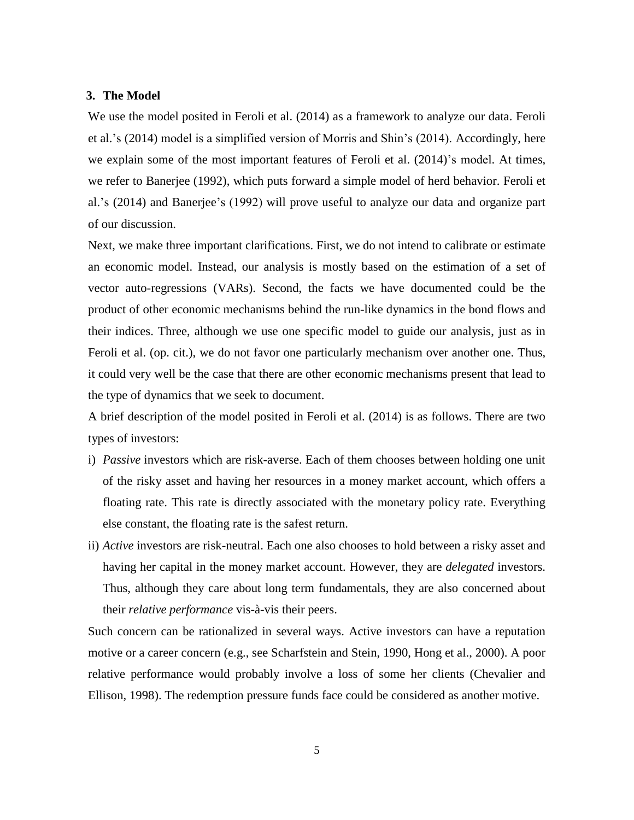#### **3. The Model**

We use the model posited in Feroli et al. (2014) as a framework to analyze our data. Feroli et al.'s (2014) model is a simplified version of Morris and Shin's (2014). Accordingly, here we explain some of the most important features of Feroli et al. (2014)'s model. At times, we refer to Banerjee (1992), which puts forward a simple model of herd behavior. Feroli et al.'s (2014) and Banerjee's (1992) will prove useful to analyze our data and organize part of our discussion.

Next, we make three important clarifications. First, we do not intend to calibrate or estimate an economic model. Instead, our analysis is mostly based on the estimation of a set of vector auto-regressions (VARs). Second, the facts we have documented could be the product of other economic mechanisms behind the run-like dynamics in the bond flows and their indices. Three, although we use one specific model to guide our analysis, just as in Feroli et al. (op. cit.), we do not favor one particularly mechanism over another one. Thus, it could very well be the case that there are other economic mechanisms present that lead to the type of dynamics that we seek to document.

A brief description of the model posited in Feroli et al. (2014) is as follows. There are two types of investors:

- i) *Passive* investors which are risk-averse. Each of them chooses between holding one unit of the risky asset and having her resources in a money market account, which offers a floating rate. This rate is directly associated with the monetary policy rate. Everything else constant, the floating rate is the safest return.
- ii) *Active* investors are risk-neutral. Each one also chooses to hold between a risky asset and having her capital in the money market account. However, they are *delegated* investors. Thus, although they care about long term fundamentals, they are also concerned about their *relative performance* vis-à-vis their peers.

Such concern can be rationalized in several ways. Active investors can have a reputation motive or a career concern (e.g., see Scharfstein and Stein, 1990, Hong et al., 2000). A poor relative performance would probably involve a loss of some her clients (Chevalier and Ellison, 1998). The redemption pressure funds face could be considered as another motive.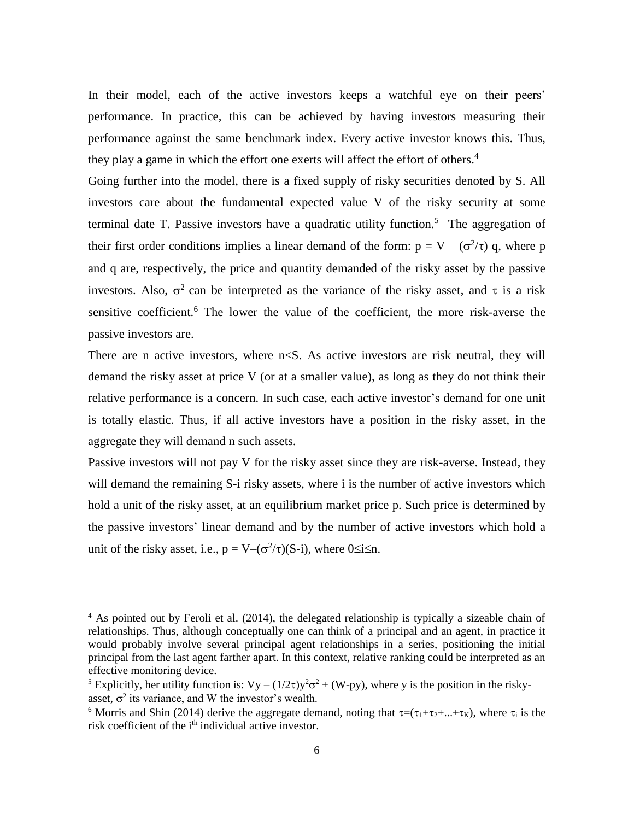In their model, each of the active investors keeps a watchful eye on their peers' performance. In practice, this can be achieved by having investors measuring their performance against the same benchmark index. Every active investor knows this. Thus, they play a game in which the effort one exerts will affect the effort of others. 4

Going further into the model, there is a fixed supply of risky securities denoted by S. All investors care about the fundamental expected value V of the risky security at some terminal date T. Passive investors have a quadratic utility function.<sup>5</sup> The aggregation of their first order conditions implies a linear demand of the form:  $p = V - (\sigma^2/\tau)$  q, where p and q are, respectively, the price and quantity demanded of the risky asset by the passive investors. Also,  $\sigma^2$  can be interpreted as the variance of the risky asset, and  $\tau$  is a risk sensitive coefficient.<sup>6</sup> The lower the value of the coefficient, the more risk-averse the passive investors are.

There are n active investors, where  $n < S$ . As active investors are risk neutral, they will demand the risky asset at price V (or at a smaller value), as long as they do not think their relative performance is a concern. In such case, each active investor's demand for one unit is totally elastic. Thus, if all active investors have a position in the risky asset, in the aggregate they will demand n such assets.

Passive investors will not pay V for the risky asset since they are risk-averse. Instead, they will demand the remaining S-i risky assets, where i is the number of active investors which hold a unit of the risky asset, at an equilibrium market price p. Such price is determined by the passive investors' linear demand and by the number of active investors which hold a unit of the risky asset, i.e.,  $p = V - (\sigma^2/\tau)(S-i)$ , where  $0 \le i \le n$ .

 $\overline{a}$ 

<sup>&</sup>lt;sup>4</sup> As pointed out by Feroli et al. (2014), the delegated relationship is typically a sizeable chain of relationships. Thus, although conceptually one can think of a principal and an agent, in practice it would probably involve several principal agent relationships in a series, positioning the initial principal from the last agent farther apart. In this context, relative ranking could be interpreted as an effective monitoring device.

<sup>&</sup>lt;sup>5</sup> Explicitly, her utility function is:  $Vy - (1/2\tau)y^2\sigma^2 + (W-py)$ , where y is the position in the riskyasset,  $\sigma^2$  its variance, and W the investor's wealth.

<sup>&</sup>lt;sup>6</sup> Morris and Shin (2014) derive the aggregate demand, noting that  $\tau = (\tau_1 + \tau_2 + ... + \tau_K)$ , where  $\tau_i$  is the risk coefficient of the i<sup>th</sup> individual active investor.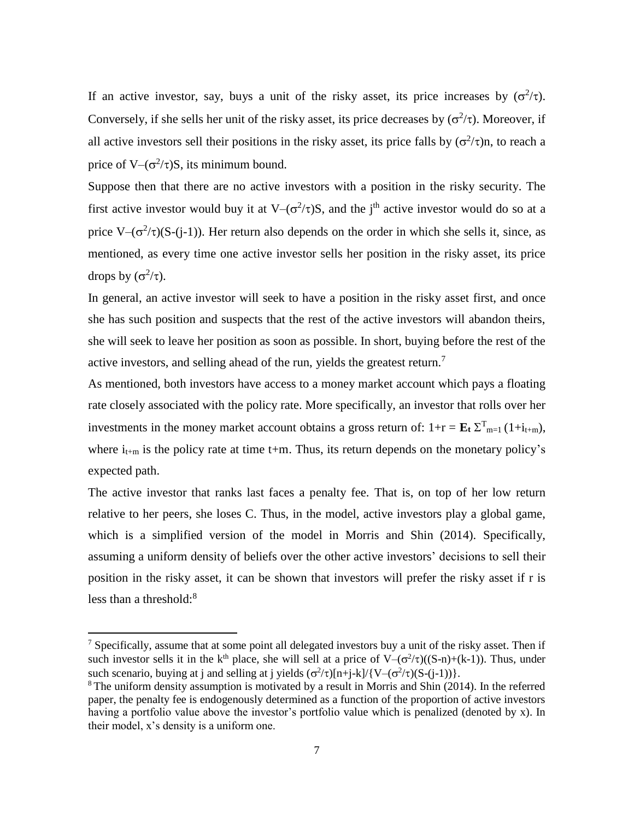If an active investor, say, buys a unit of the risky asset, its price increases by  $(\sigma^2/\tau)$ . Conversely, if she sells her unit of the risky asset, its price decreases by  $(\sigma^2/\tau)$ . Moreover, if all active investors sell their positions in the risky asset, its price falls by  $(\sigma^2/\tau)n$ , to reach a price of  $V-(\sigma^2/\tau)S$ , its minimum bound.

Suppose then that there are no active investors with a position in the risky security. The first active investor would buy it at  $V-(\sigma^2/\tau)S$ , and the j<sup>th</sup> active investor would do so at a price  $V-(\sigma^2/\tau)(S-(j-1))$ . Her return also depends on the order in which she sells it, since, as mentioned, as every time one active investor sells her position in the risky asset, its price drops by  $(\sigma^2/\tau)$ .

In general, an active investor will seek to have a position in the risky asset first, and once she has such position and suspects that the rest of the active investors will abandon theirs, she will seek to leave her position as soon as possible. In short, buying before the rest of the active investors, and selling ahead of the run, yields the greatest return.<sup>7</sup>

As mentioned, both investors have access to a money market account which pays a floating rate closely associated with the policy rate. More specifically, an investor that rolls over her investments in the money market account obtains a gross return of:  $1+r = \mathbf{E}_t \Sigma^T_{m=1} (1+i_{t+m}),$ where  $i_{t+m}$  is the policy rate at time t+m. Thus, its return depends on the monetary policy's expected path.

The active investor that ranks last faces a penalty fee. That is, on top of her low return relative to her peers, she loses C. Thus, in the model, active investors play a global game, which is a simplified version of the model in Morris and Shin (2014). Specifically, assuming a uniform density of beliefs over the other active investors' decisions to sell their position in the risky asset, it can be shown that investors will prefer the risky asset if r is less than a threshold: 8

 $\ddot{\phantom{a}}$ 

 $<sup>7</sup>$  Specifically, assume that at some point all delegated investors buy a unit of the risky asset. Then if</sup> such investor sells it in the k<sup>th</sup> place, she will sell at a price of  $V-(\sigma^2/\tau)((S-n)+(k-1))$ . Thus, under such scenario, buying at j and selling at j yields  $(\sigma^2/\tau)[n+j-k]/\{V-(\sigma^2/\tau)(S-(j-1))\}$ .

<sup>&</sup>lt;sup>8</sup> The uniform density assumption is motivated by a result in Morris and Shin (2014). In the referred paper, the penalty fee is endogenously determined as a function of the proportion of active investors having a portfolio value above the investor's portfolio value which is penalized (denoted by x). In their model, x's density is a uniform one.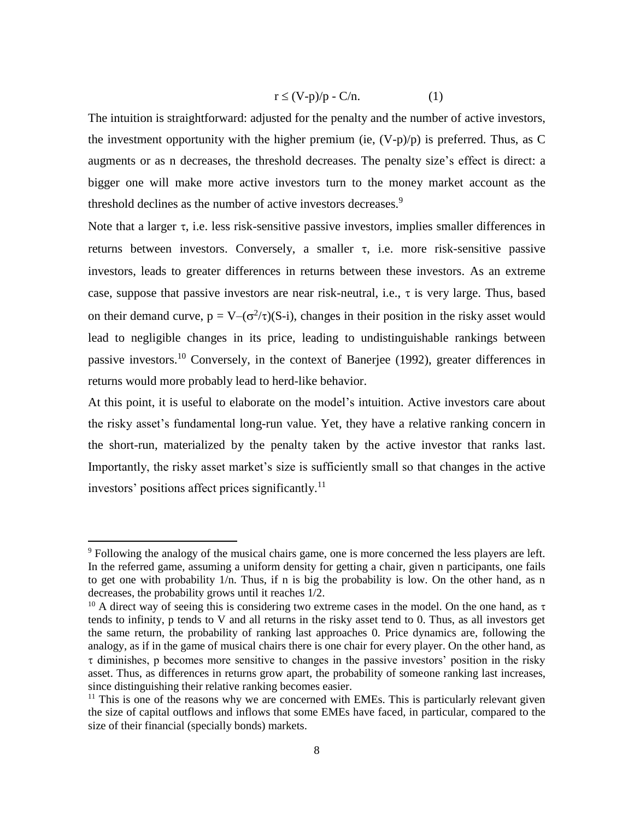$$
r \le (V-p)/p - C/n. \tag{1}
$$

The intuition is straightforward: adjusted for the penalty and the number of active investors, the investment opportunity with the higher premium (ie,  $(V-p)/p$ ) is preferred. Thus, as C augments or as n decreases, the threshold decreases. The penalty size's effect is direct: a bigger one will make more active investors turn to the money market account as the threshold declines as the number of active investors decreases.<sup>9</sup>

Note that a larger  $\tau$ , i.e. less risk-sensitive passive investors, implies smaller differences in returns between investors. Conversely, a smaller  $\tau$ , i.e. more risk-sensitive passive investors, leads to greater differences in returns between these investors. As an extreme case, suppose that passive investors are near risk-neutral, i.e.,  $\tau$  is very large. Thus, based on their demand curve,  $p = V - (\sigma^2/\tau)(S - i)$ , changes in their position in the risky asset would lead to negligible changes in its price, leading to undistinguishable rankings between passive investors.<sup>10</sup> Conversely, in the context of Banerjee (1992), greater differences in returns would more probably lead to herd-like behavior.

At this point, it is useful to elaborate on the model's intuition. Active investors care about the risky asset's fundamental long-run value. Yet, they have a relative ranking concern in the short-run, materialized by the penalty taken by the active investor that ranks last. Importantly, the risky asset market's size is sufficiently small so that changes in the active investors' positions affect prices significantly. 11

 $\overline{a}$ 

<sup>&</sup>lt;sup>9</sup> Following the analogy of the musical chairs game, one is more concerned the less players are left. In the referred game, assuming a uniform density for getting a chair, given n participants, one fails to get one with probability 1/n. Thus, if n is big the probability is low. On the other hand, as n decreases, the probability grows until it reaches 1/2.

<sup>&</sup>lt;sup>10</sup> A direct way of seeing this is considering two extreme cases in the model. On the one hand, as  $\tau$ tends to infinity, p tends to V and all returns in the risky asset tend to 0. Thus, as all investors get the same return, the probability of ranking last approaches 0. Price dynamics are, following the analogy, as if in the game of musical chairs there is one chair for every player. On the other hand, as  $\tau$  diminishes, p becomes more sensitive to changes in the passive investors' position in the risky asset. Thus, as differences in returns grow apart, the probability of someone ranking last increases, since distinguishing their relative ranking becomes easier.

 $11$  This is one of the reasons why we are concerned with EMEs. This is particularly relevant given the size of capital outflows and inflows that some EMEs have faced, in particular, compared to the size of their financial (specially bonds) markets.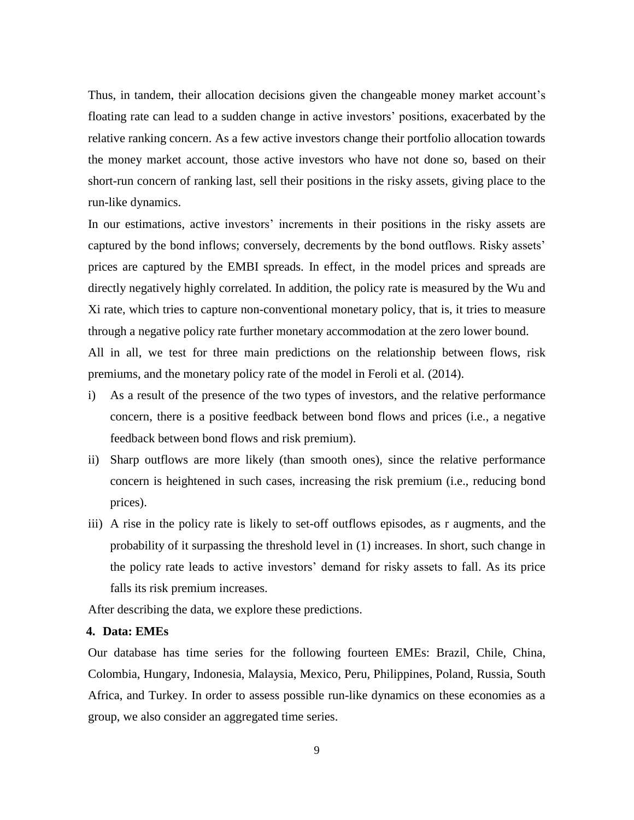Thus, in tandem, their allocation decisions given the changeable money market account's floating rate can lead to a sudden change in active investors' positions, exacerbated by the relative ranking concern. As a few active investors change their portfolio allocation towards the money market account, those active investors who have not done so, based on their short-run concern of ranking last, sell their positions in the risky assets, giving place to the run-like dynamics.

In our estimations, active investors' increments in their positions in the risky assets are captured by the bond inflows; conversely, decrements by the bond outflows. Risky assets' prices are captured by the EMBI spreads. In effect, in the model prices and spreads are directly negatively highly correlated. In addition, the policy rate is measured by the Wu and Xi rate, which tries to capture non-conventional monetary policy, that is, it tries to measure through a negative policy rate further monetary accommodation at the zero lower bound. All in all, we test for three main predictions on the relationship between flows, risk premiums, and the monetary policy rate of the model in Feroli et al. (2014).

- i) As a result of the presence of the two types of investors, and the relative performance concern, there is a positive feedback between bond flows and prices (i.e., a negative feedback between bond flows and risk premium).
- ii) Sharp outflows are more likely (than smooth ones), since the relative performance concern is heightened in such cases, increasing the risk premium (i.e., reducing bond prices).
- iii) A rise in the policy rate is likely to set-off outflows episodes, as r augments, and the probability of it surpassing the threshold level in (1) increases. In short, such change in the policy rate leads to active investors' demand for risky assets to fall. As its price falls its risk premium increases.

After describing the data, we explore these predictions.

## **4. Data: EMEs**

Our database has time series for the following fourteen EMEs: Brazil, Chile, China, Colombia, Hungary, Indonesia, Malaysia, Mexico, Peru, Philippines, Poland, Russia, South Africa, and Turkey. In order to assess possible run-like dynamics on these economies as a group, we also consider an aggregated time series.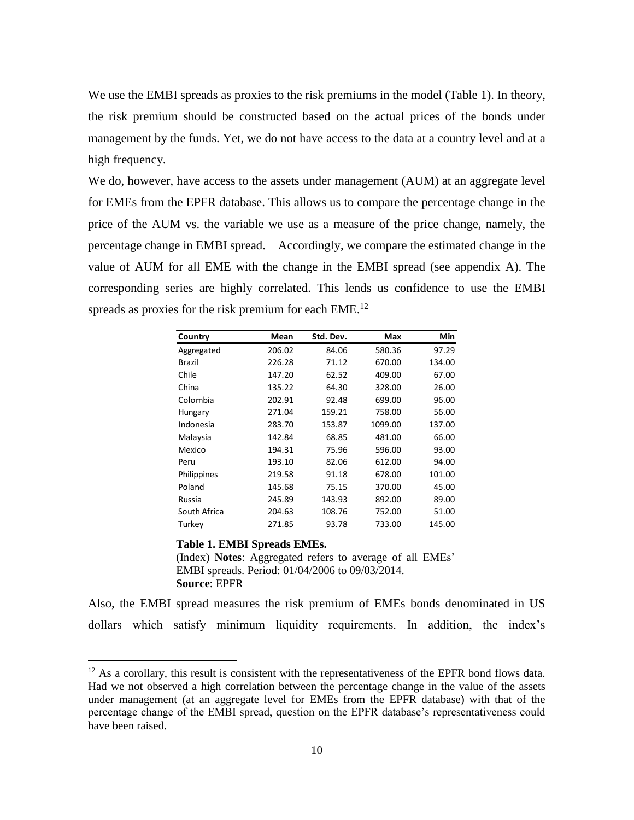We use the EMBI spreads as proxies to the risk premiums in the model (Table 1). In theory, the risk premium should be constructed based on the actual prices of the bonds under management by the funds. Yet, we do not have access to the data at a country level and at a high frequency.

We do, however, have access to the assets under management (AUM) at an aggregate level for EMEs from the EPFR database. This allows us to compare the percentage change in the price of the AUM vs. the variable we use as a measure of the price change, namely, the percentage change in EMBI spread. Accordingly, we compare the estimated change in the value of AUM for all EME with the change in the EMBI spread (see appendix A). The corresponding series are highly correlated. This lends us confidence to use the EMBI spreads as proxies for the risk premium for each EME.<sup>12</sup>

| Country      | Mean   | Std. Dev. | Max     | Min    |
|--------------|--------|-----------|---------|--------|
| Aggregated   | 206.02 | 84.06     | 580.36  | 97.29  |
| Brazil       | 226.28 | 71.12     | 670.00  | 134.00 |
| Chile        | 147.20 | 62.52     | 409.00  | 67.00  |
| China        | 135.22 | 64.30     | 328.00  | 26.00  |
| Colombia     | 202.91 | 92.48     | 699.00  | 96.00  |
| Hungary      | 271.04 | 159.21    | 758.00  | 56.00  |
| Indonesia    | 283.70 | 153.87    | 1099.00 | 137.00 |
| Malaysia     | 142.84 | 68.85     | 481.00  | 66.00  |
| Mexico       | 194.31 | 75.96     | 596.00  | 93.00  |
| Peru         | 193.10 | 82.06     | 612.00  | 94.00  |
| Philippines  | 219.58 | 91.18     | 678.00  | 101.00 |
| Poland       | 145.68 | 75.15     | 370.00  | 45.00  |
| Russia       | 245.89 | 143.93    | 892.00  | 89.00  |
| South Africa | 204.63 | 108.76    | 752.00  | 51.00  |
| Turkey       | 271.85 | 93.78     | 733.00  | 145.00 |

#### **Table 1. EMBI Spreads EMEs.**

 $\overline{a}$ 

(Index) **Notes**: Aggregated refers to average of all EMEs' EMBI spreads. Period: 01/04/2006 to 09/03/2014. **Source**: EPFR

Also, the EMBI spread measures the risk premium of EMEs bonds denominated in US dollars which satisfy minimum liquidity requirements. In addition, the index's

<sup>&</sup>lt;sup>12</sup> As a corollary, this result is consistent with the representativeness of the EPFR bond flows data. Had we not observed a high correlation between the percentage change in the value of the assets under management (at an aggregate level for EMEs from the EPFR database) with that of the percentage change of the EMBI spread, question on the EPFR database's representativeness could have been raised.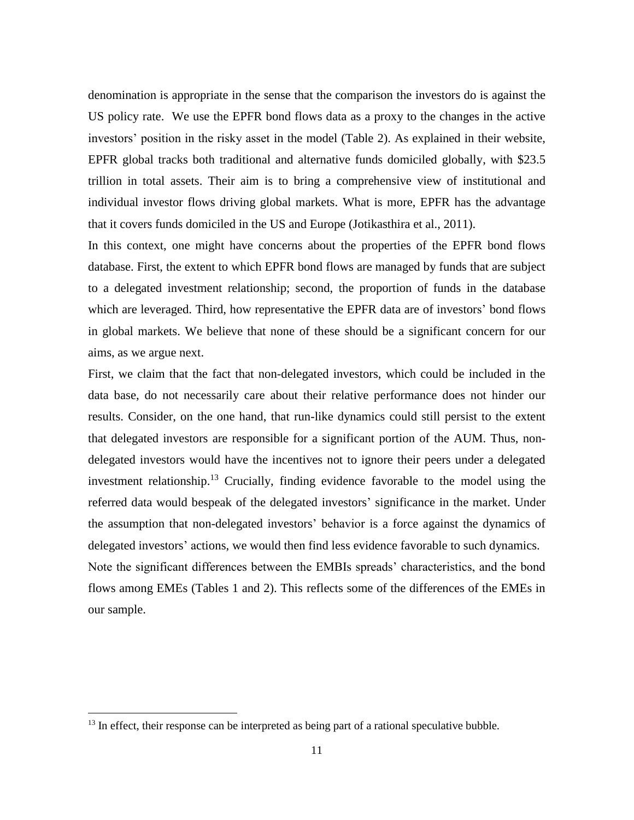denomination is appropriate in the sense that the comparison the investors do is against the US policy rate. We use the EPFR bond flows data as a proxy to the changes in the active investors' position in the risky asset in the model (Table 2). As explained in their website, EPFR global tracks both traditional and alternative funds domiciled globally, with \$23.5 trillion in total assets. Their aim is to bring a comprehensive view of institutional and individual investor flows driving global markets. What is more, EPFR has the advantage that it covers funds domiciled in the US and Europe (Jotikasthira et al., 2011).

In this context, one might have concerns about the properties of the EPFR bond flows database. First, the extent to which EPFR bond flows are managed by funds that are subject to a delegated investment relationship; second, the proportion of funds in the database which are leveraged. Third, how representative the EPFR data are of investors' bond flows in global markets. We believe that none of these should be a significant concern for our aims, as we argue next.

First, we claim that the fact that non-delegated investors, which could be included in the data base, do not necessarily care about their relative performance does not hinder our results. Consider, on the one hand, that run-like dynamics could still persist to the extent that delegated investors are responsible for a significant portion of the AUM. Thus, nondelegated investors would have the incentives not to ignore their peers under a delegated investment relationship. <sup>13</sup> Crucially, finding evidence favorable to the model using the referred data would bespeak of the delegated investors' significance in the market. Under the assumption that non-delegated investors' behavior is a force against the dynamics of delegated investors' actions, we would then find less evidence favorable to such dynamics. Note the significant differences between the EMBIs spreads' characteristics, and the bond flows among EMEs (Tables 1 and 2). This reflects some of the differences of the EMEs in our sample.

 $\overline{a}$ 

<sup>&</sup>lt;sup>13</sup> In effect, their response can be interpreted as being part of a rational speculative bubble.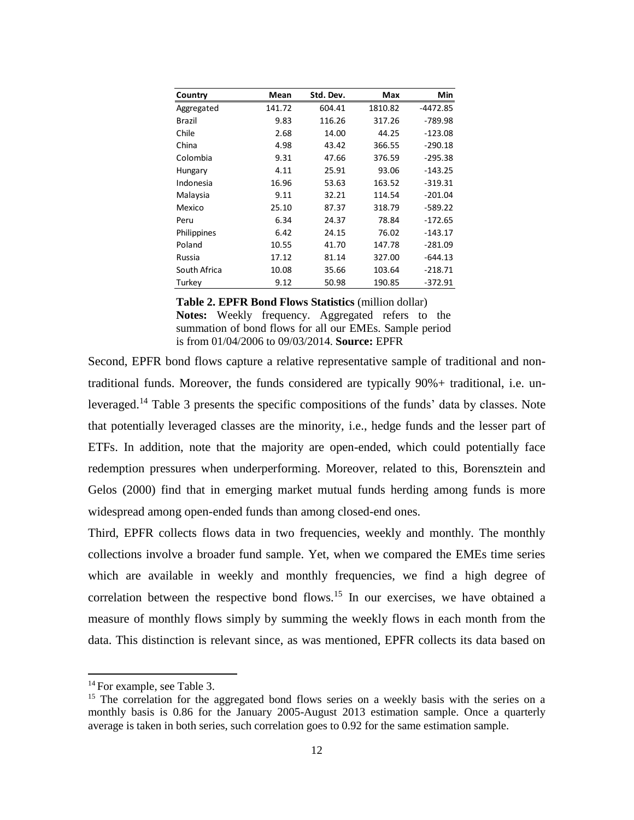| Country       | Mean   | Std. Dev. | Max     | Min        |
|---------------|--------|-----------|---------|------------|
| Aggregated    | 141.72 | 604.41    | 1810.82 | $-4472.85$ |
| <b>Brazil</b> | 9.83   | 116.26    | 317.26  | $-789.98$  |
| Chile         | 2.68   | 14.00     | 44.25   | $-123.08$  |
| China         | 4.98   | 43.42     | 366.55  | $-290.18$  |
| Colombia      | 9.31   | 47.66     | 376.59  | $-295.38$  |
| Hungary       | 4.11   | 25.91     | 93.06   | $-143.25$  |
| Indonesia     | 16.96  | 53.63     | 163.52  | $-319.31$  |
| Malaysia      | 9.11   | 32.21     | 114.54  | $-201.04$  |
| Mexico        | 25.10  | 87.37     | 318.79  | $-589.22$  |
| Peru          | 6.34   | 24.37     | 78.84   | $-172.65$  |
| Philippines   | 6.42   | 24.15     | 76.02   | $-143.17$  |
| Poland        | 10.55  | 41.70     | 147.78  | $-281.09$  |
| Russia        | 17.12  | 81.14     | 327.00  | $-644.13$  |
| South Africa  | 10.08  | 35.66     | 103.64  | $-218.71$  |
| Turkey        | 9.12   | 50.98     | 190.85  | $-372.91$  |

**Table 2. EPFR Bond Flows Statistics** (million dollar) **Notes:** Weekly frequency. Aggregated refers to the summation of bond flows for all our EMEs. Sample period is from 01/04/2006 to 09/03/2014. **Source:** EPFR

Second, EPFR bond flows capture a relative representative sample of traditional and nontraditional funds. Moreover, the funds considered are typically 90%+ traditional, i.e. unleveraged.<sup>14</sup> Table 3 presents the specific compositions of the funds' data by classes. Note that potentially leveraged classes are the minority, i.e., hedge funds and the lesser part of ETFs. In addition, note that the majority are open-ended, which could potentially face redemption pressures when underperforming. Moreover, related to this, Borensztein and Gelos (2000) find that in emerging market mutual funds herding among funds is more widespread among open-ended funds than among closed-end ones.

Third, EPFR collects flows data in two frequencies, weekly and monthly. The monthly collections involve a broader fund sample. Yet, when we compared the EMEs time series which are available in weekly and monthly frequencies, we find a high degree of correlation between the respective bond flows.<sup>15</sup> In our exercises, we have obtained a measure of monthly flows simply by summing the weekly flows in each month from the data. This distinction is relevant since, as was mentioned, EPFR collects its data based on

 $\overline{a}$ 

<sup>&</sup>lt;sup>14</sup> For example, see Table 3.

<sup>&</sup>lt;sup>15</sup> The correlation for the aggregated bond flows series on a weekly basis with the series on a monthly basis is 0.86 for the January 2005-August 2013 estimation sample. Once a quarterly average is taken in both series, such correlation goes to 0.92 for the same estimation sample.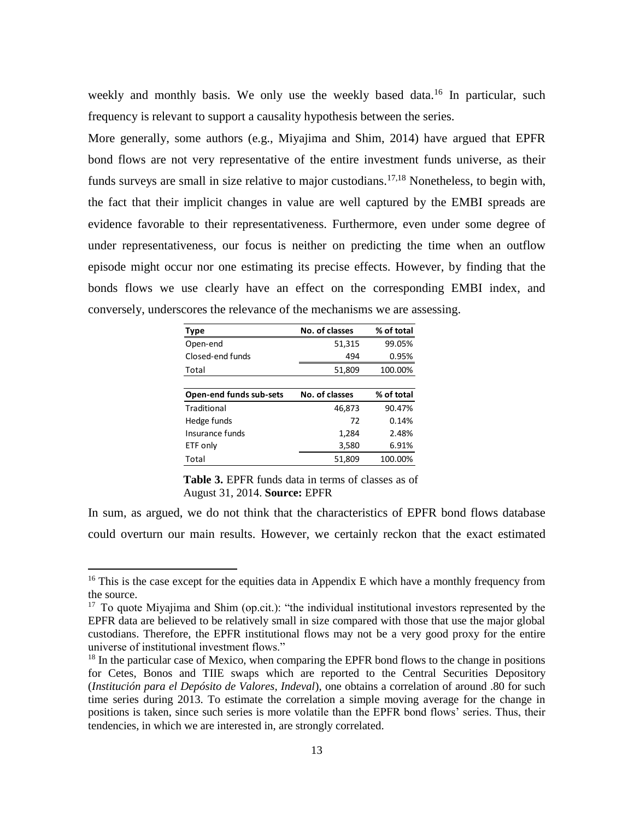weekly and monthly basis. We only use the weekly based data.<sup>16</sup> In particular, such frequency is relevant to support a causality hypothesis between the series.

More generally, some authors (e.g., Miyajima and Shim, 2014) have argued that EPFR bond flows are not very representative of the entire investment funds universe, as their funds surveys are small in size relative to major custodians.<sup>17,18</sup> Nonetheless, to begin with, the fact that their implicit changes in value are well captured by the EMBI spreads are evidence favorable to their representativeness. Furthermore, even under some degree of under representativeness, our focus is neither on predicting the time when an outflow episode might occur nor one estimating its precise effects. However, by finding that the bonds flows we use clearly have an effect on the corresponding EMBI index, and conversely, underscores the relevance of the mechanisms we are assessing.

| Type                           | No. of classes | % of total |
|--------------------------------|----------------|------------|
| Open-end                       | 51,315         | 99.05%     |
| Closed-end funds               | 494            | 0.95%      |
| Total                          | 51,809         | 100.00%    |
|                                |                |            |
| <b>Open-end funds sub-sets</b> | No. of classes | % of total |
| Traditional                    | 46,873         | 90.47%     |
| Hedge funds                    | 72             | 0.14%      |
| Insurance funds                | 1,284          | 2.48%      |
| ETF only                       | 3,580          | 6.91%      |
| Total                          | 51,809         | 100.00%    |

**Table 3.** EPFR funds data in terms of classes as of August 31, 2014. **Source:** EPFR

 $\overline{a}$ 

In sum, as argued, we do not think that the characteristics of EPFR bond flows database could overturn our main results. However, we certainly reckon that the exact estimated

<sup>&</sup>lt;sup>16</sup> This is the case except for the equities data in Appendix E which have a monthly frequency from the source.

 $17$  To quote Miyajima and Shim (op.cit.): "the individual institutional investors represented by the EPFR data are believed to be relatively small in size compared with those that use the major global custodians. Therefore, the EPFR institutional flows may not be a very good proxy for the entire universe of institutional investment flows."

<sup>&</sup>lt;sup>18</sup> In the particular case of Mexico, when comparing the EPFR bond flows to the change in positions for Cetes, Bonos and TIIE swaps which are reported to the Central Securities Depository (*Institución para el Depósito de Valores, Indeval*), one obtains a correlation of around .80 for such time series during 2013. To estimate the correlation a simple moving average for the change in positions is taken, since such series is more volatile than the EPFR bond flows' series. Thus, their tendencies, in which we are interested in, are strongly correlated.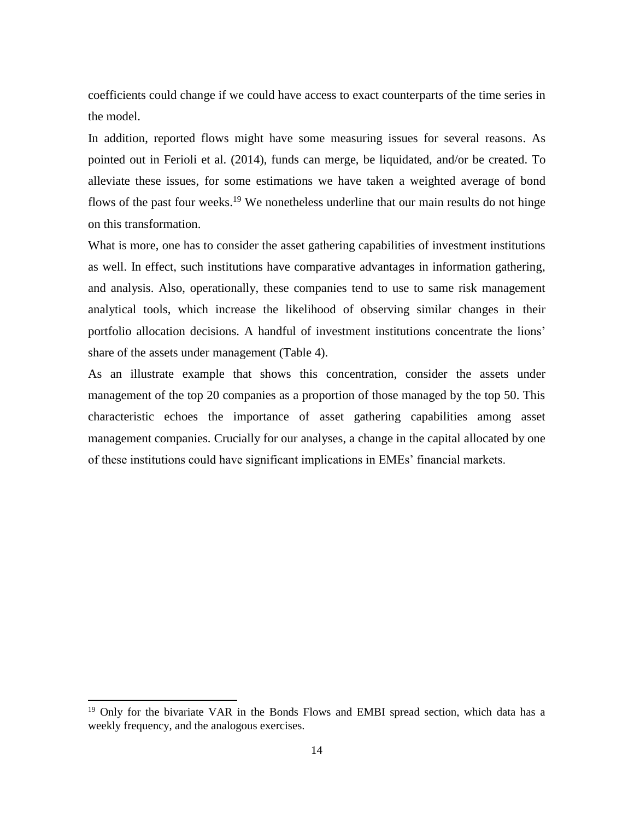coefficients could change if we could have access to exact counterparts of the time series in the model.

In addition, reported flows might have some measuring issues for several reasons. As pointed out in Ferioli et al. (2014), funds can merge, be liquidated, and/or be created. To alleviate these issues, for some estimations we have taken a weighted average of bond flows of the past four weeks.<sup>19</sup> We nonetheless underline that our main results do not hinge on this transformation.

What is more, one has to consider the asset gathering capabilities of investment institutions as well. In effect, such institutions have comparative advantages in information gathering, and analysis. Also, operationally, these companies tend to use to same risk management analytical tools, which increase the likelihood of observing similar changes in their portfolio allocation decisions. A handful of investment institutions concentrate the lions' share of the assets under management (Table 4).

As an illustrate example that shows this concentration, consider the assets under management of the top 20 companies as a proportion of those managed by the top 50. This characteristic echoes the importance of asset gathering capabilities among asset management companies. Crucially for our analyses, a change in the capital allocated by one of these institutions could have significant implications in EMEs' financial markets.

 $\ddot{\phantom{a}}$ 

<sup>&</sup>lt;sup>19</sup> Only for the bivariate VAR in the Bonds Flows and EMBI spread section, which data has a weekly frequency, and the analogous exercises.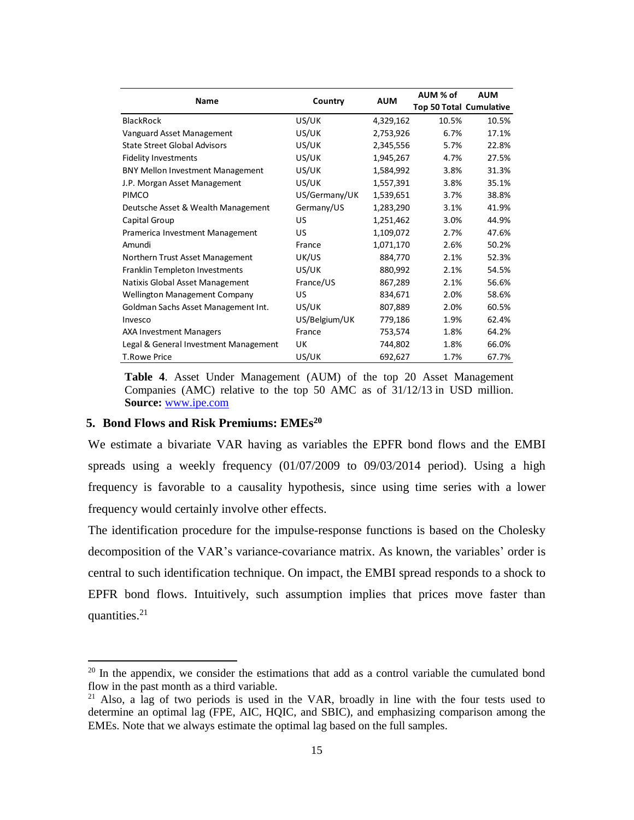| <b>Name</b>                             |               | <b>AUM</b> | AUM % of                       | <b>AUM</b> |
|-----------------------------------------|---------------|------------|--------------------------------|------------|
|                                         | Country       |            | <b>Top 50 Total Cumulative</b> |            |
| <b>BlackRock</b>                        | US/UK         | 4,329,162  | 10.5%                          | 10.5%      |
| Vanguard Asset Management               | US/UK         | 2,753,926  | 6.7%                           | 17.1%      |
| <b>State Street Global Advisors</b>     | US/UK         | 2,345,556  | 5.7%                           | 22.8%      |
| <b>Fidelity Investments</b>             | US/UK         | 1,945,267  | 4.7%                           | 27.5%      |
| <b>BNY Mellon Investment Management</b> | US/UK         | 1,584,992  | 3.8%                           | 31.3%      |
| J.P. Morgan Asset Management            | US/UK         | 1,557,391  | 3.8%                           | 35.1%      |
| <b>PIMCO</b>                            | US/Germany/UK | 1,539,651  | 3.7%                           | 38.8%      |
| Deutsche Asset & Wealth Management      | Germany/US    | 1,283,290  | 3.1%                           | 41.9%      |
| Capital Group                           | US            | 1,251,462  | 3.0%                           | 44.9%      |
| Pramerica Investment Management         | US            | 1,109,072  | 2.7%                           | 47.6%      |
| Amundi                                  | France        | 1,071,170  | 2.6%                           | 50.2%      |
| Northern Trust Asset Management         | UK/US         | 884,770    | 2.1%                           | 52.3%      |
| Franklin Templeton Investments          | US/UK         | 880,992    | 2.1%                           | 54.5%      |
| Natixis Global Asset Management         | France/US     | 867,289    | 2.1%                           | 56.6%      |
| <b>Wellington Management Company</b>    | US            | 834,671    | 2.0%                           | 58.6%      |
| Goldman Sachs Asset Management Int.     | US/UK         | 807,889    | 2.0%                           | 60.5%      |
| Invesco                                 | US/Belgium/UK | 779,186    | 1.9%                           | 62.4%      |
| <b>AXA Investment Managers</b>          | France        | 753,574    | 1.8%                           | 64.2%      |
| Legal & General Investment Management   | UK            | 744,802    | 1.8%                           | 66.0%      |
| <b>T.Rowe Price</b>                     | US/UK         | 692,627    | 1.7%                           | 67.7%      |

**Table 4**. Asset Under Management (AUM) of the top 20 Asset Management Companies (AMC) relative to the top 50 AMC as of 31/12/13 in USD million. **Source:** [www.ipe.com](http://www.ipe.com/)

## **5. Bond Flows and Risk Premiums: EMEs<sup>20</sup>**

 $\overline{a}$ 

We estimate a bivariate VAR having as variables the EPFR bond flows and the EMBI spreads using a weekly frequency (01/07/2009 to 09/03/2014 period). Using a high frequency is favorable to a causality hypothesis, since using time series with a lower frequency would certainly involve other effects.

The identification procedure for the impulse-response functions is based on the Cholesky decomposition of the VAR's variance-covariance matrix. As known, the variables' order is central to such identification technique. On impact, the EMBI spread responds to a shock to EPFR bond flows. Intuitively, such assumption implies that prices move faster than quantities. 21

<sup>&</sup>lt;sup>20</sup> In the appendix, we consider the estimations that add as a control variable the cumulated bond flow in the past month as a third variable.

<sup>&</sup>lt;sup>21</sup> Also, a lag of two periods is used in the VAR, broadly in line with the four tests used to determine an optimal lag (FPE, AIC, HQIC, and SBIC), and emphasizing comparison among the EMEs. Note that we always estimate the optimal lag based on the full samples.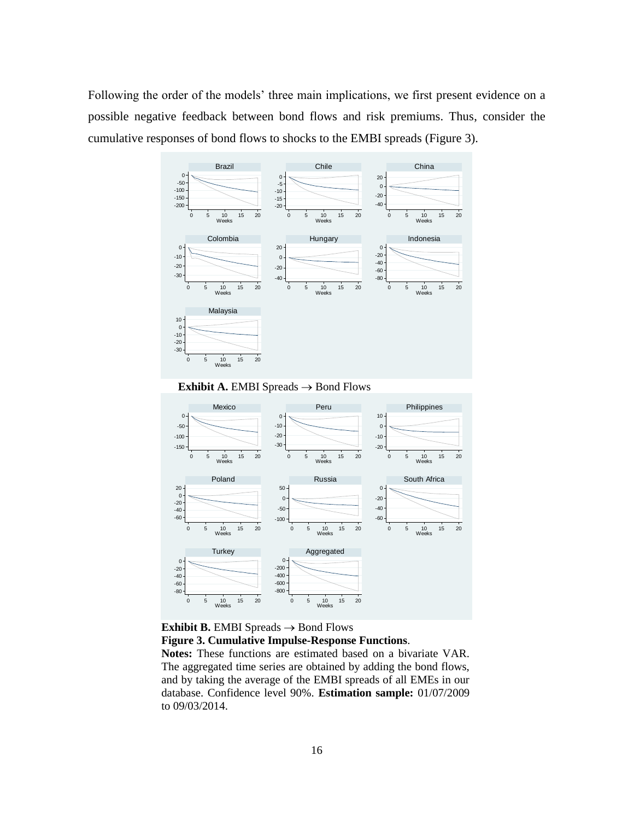Following the order of the models' three main implications, we first present evidence on a possible negative feedback between bond flows and risk premiums. Thus, consider the cumulative responses of bond flows to shocks to the EMBI spreads (Figure 3).



**Exhibit A.** EMBI Spreads  $\rightarrow$  Bond Flows



**Exhibit B.** EMBI Spreads  $\rightarrow$  Bond Flows **Figure 3. Cumulative Impulse-Response Functions**.

**Notes:** These functions are estimated based on a bivariate VAR. The aggregated time series are obtained by adding the bond flows, and by taking the average of the EMBI spreads of all EMEs in our database. Confidence level 90%. **Estimation sample:** 01/07/2009 to 09/03/2014.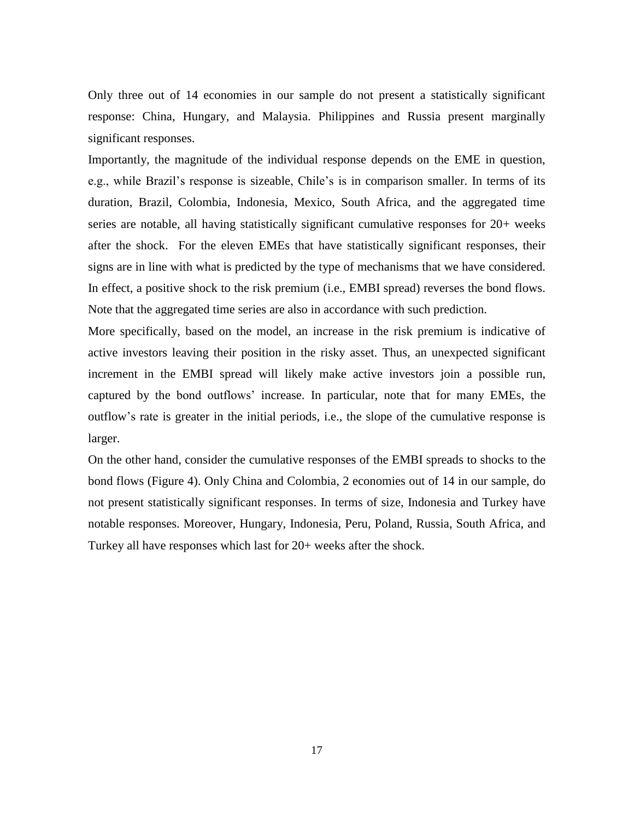Only three out of 14 economies in our sample do not present a statistically significant response: China, Hungary, and Malaysia. Philippines and Russia present marginally significant responses.

Importantly, the magnitude of the individual response depends on the EME in question, e.g., while Brazil's response is sizeable, Chile's is in comparison smaller. In terms of its duration, Brazil, Colombia, Indonesia, Mexico, South Africa, and the aggregated time series are notable, all having statistically significant cumulative responses for 20+ weeks after the shock. For the eleven EMEs that have statistically significant responses, their signs are in line with what is predicted by the type of mechanisms that we have considered. In effect, a positive shock to the risk premium (i.e., EMBI spread) reverses the bond flows. Note that the aggregated time series are also in accordance with such prediction.

More specifically, based on the model, an increase in the risk premium is indicative of active investors leaving their position in the risky asset. Thus, an unexpected significant increment in the EMBI spread will likely make active investors join a possible run, captured by the bond outflows' increase. In particular, note that for many EMEs, the outflow's rate is greater in the initial periods, i.e., the slope of the cumulative response is larger.

On the other hand, consider the cumulative responses of the EMBI spreads to shocks to the bond flows (Figure 4). Only China and Colombia, 2 economies out of 14 in our sample, do not present statistically significant responses. In terms of size, Indonesia and Turkey have notable responses. Moreover, Hungary, Indonesia, Peru, Poland, Russia, South Africa, and Turkey all have responses which last for 20+ weeks after the shock.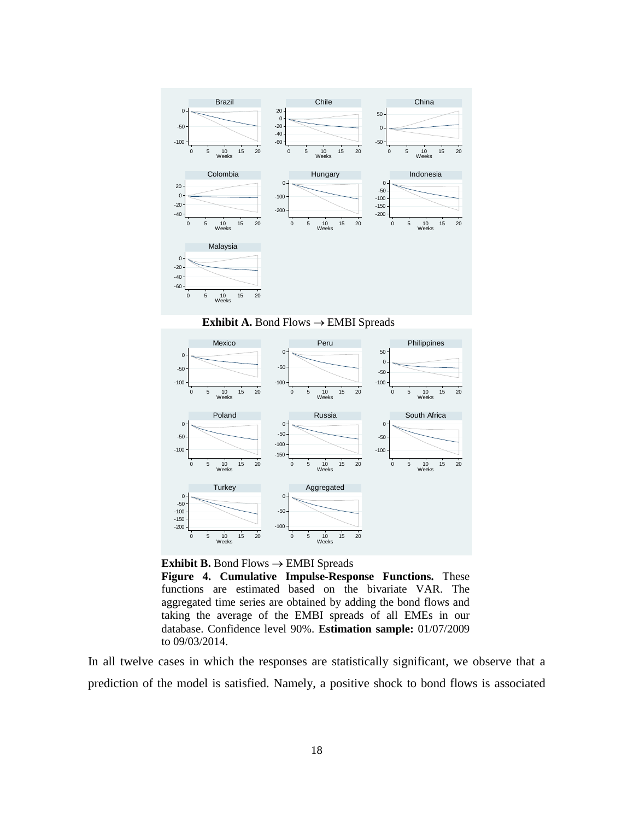

**Exhibit A.** Bond Flows  $\rightarrow$  EMBI Spreads



**Exhibit B.** Bond Flows  $\rightarrow$  EMBI Spreads

**Figure 4. Cumulative Impulse-Response Functions.** These functions are estimated based on the bivariate VAR. The aggregated time series are obtained by adding the bond flows and taking the average of the EMBI spreads of all EMEs in our database. Confidence level 90%. **Estimation sample:** 01/07/2009 to 09/03/2014.

In all twelve cases in which the responses are statistically significant, we observe that a prediction of the model is satisfied. Namely, a positive shock to bond flows is associated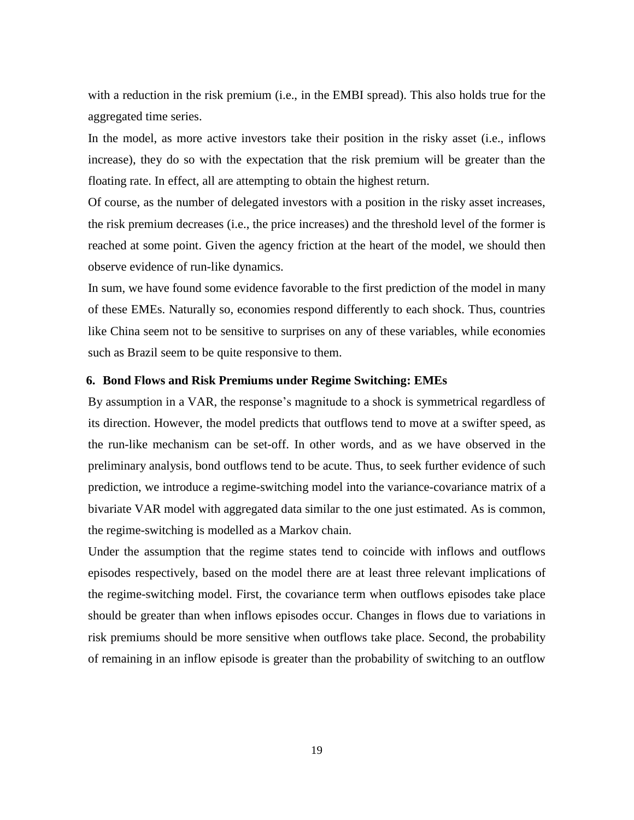with a reduction in the risk premium (i.e., in the EMBI spread). This also holds true for the aggregated time series.

In the model, as more active investors take their position in the risky asset (i.e., inflows increase), they do so with the expectation that the risk premium will be greater than the floating rate. In effect, all are attempting to obtain the highest return.

Of course, as the number of delegated investors with a position in the risky asset increases, the risk premium decreases (i.e., the price increases) and the threshold level of the former is reached at some point. Given the agency friction at the heart of the model, we should then observe evidence of run-like dynamics.

In sum, we have found some evidence favorable to the first prediction of the model in many of these EMEs. Naturally so, economies respond differently to each shock. Thus, countries like China seem not to be sensitive to surprises on any of these variables, while economies such as Brazil seem to be quite responsive to them.

#### **6. Bond Flows and Risk Premiums under Regime Switching: EMEs**

By assumption in a VAR, the response's magnitude to a shock is symmetrical regardless of its direction. However, the model predicts that outflows tend to move at a swifter speed, as the run-like mechanism can be set-off. In other words, and as we have observed in the preliminary analysis, bond outflows tend to be acute. Thus, to seek further evidence of such prediction, we introduce a regime-switching model into the variance-covariance matrix of a bivariate VAR model with aggregated data similar to the one just estimated. As is common, the regime-switching is modelled as a Markov chain.

Under the assumption that the regime states tend to coincide with inflows and outflows episodes respectively, based on the model there are at least three relevant implications of the regime-switching model. First, the covariance term when outflows episodes take place should be greater than when inflows episodes occur. Changes in flows due to variations in risk premiums should be more sensitive when outflows take place. Second, the probability of remaining in an inflow episode is greater than the probability of switching to an outflow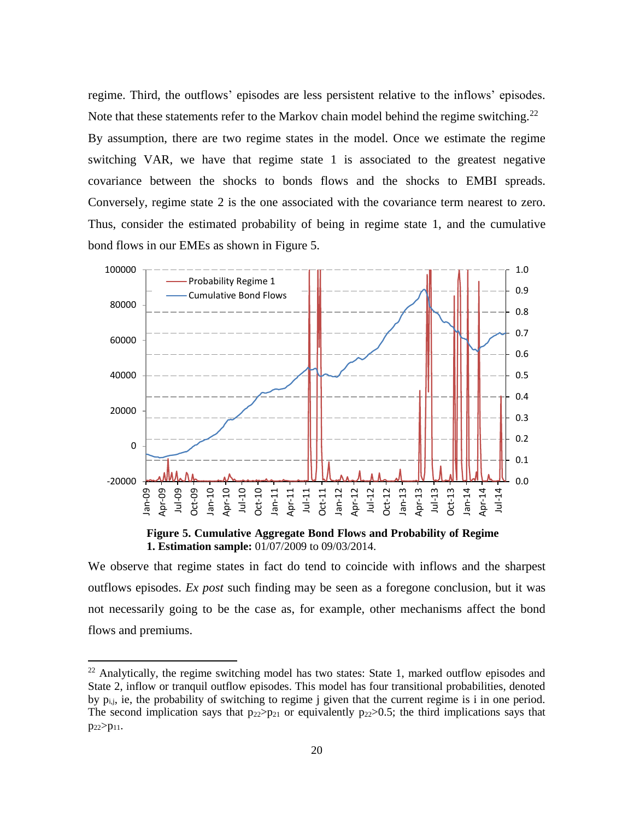regime. Third, the outflows' episodes are less persistent relative to the inflows' episodes. Note that these statements refer to the Markov chain model behind the regime switching.<sup>22</sup> By assumption, there are two regime states in the model. Once we estimate the regime switching VAR, we have that regime state 1 is associated to the greatest negative covariance between the shocks to bonds flows and the shocks to EMBI spreads. Conversely, regime state 2 is the one associated with the covariance term nearest to zero. Thus, consider the estimated probability of being in regime state 1, and the cumulative bond flows in our EMEs as shown in Figure 5.



**Figure 5. Cumulative Aggregate Bond Flows and Probability of Regime 1. Estimation sample:** 01/07/2009 to 09/03/2014.

We observe that regime states in fact do tend to coincide with inflows and the sharpest outflows episodes. *Ex post* such finding may be seen as a foregone conclusion, but it was not necessarily going to be the case as, for example, other mechanisms affect the bond flows and premiums.

 $\overline{a}$ 

<sup>&</sup>lt;sup>22</sup> Analytically, the regime switching model has two states: State 1, marked outflow episodes and State 2, inflow or tranquil outflow episodes. This model has four transitional probabilities, denoted by  $p_{i,j}$ , ie, the probability of switching to regime j given that the current regime is i in one period. The second implication says that  $p_{22} > p_{21}$  or equivalently  $p_{22} > 0.5$ ; the third implications says that  $p_{22} > p_{11}$ .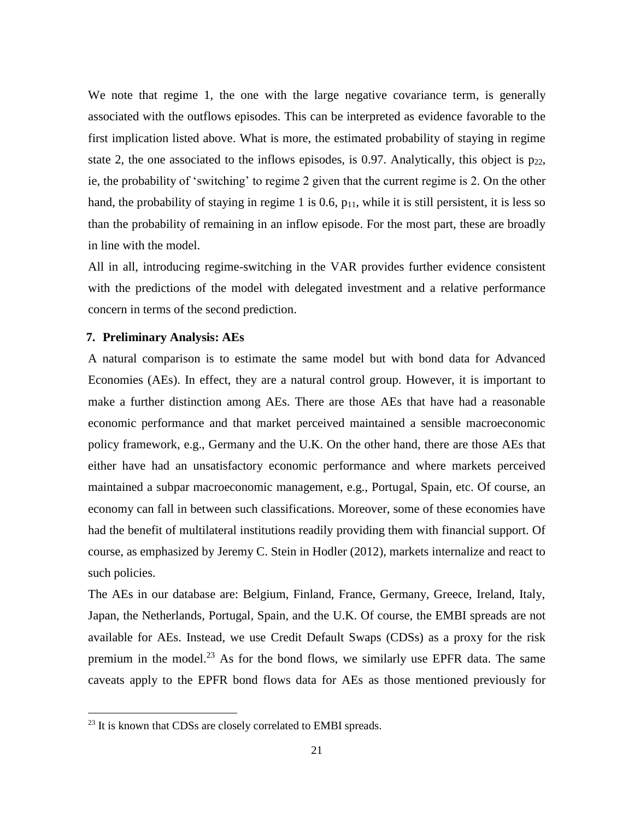We note that regime 1, the one with the large negative covariance term, is generally associated with the outflows episodes. This can be interpreted as evidence favorable to the first implication listed above. What is more, the estimated probability of staying in regime state 2, the one associated to the inflows episodes, is 0.97. Analytically, this object is  $p_{22}$ , ie, the probability of 'switching' to regime 2 given that the current regime is 2. On the other hand, the probability of staying in regime 1 is 0.6,  $p_{11}$ , while it is still persistent, it is less so than the probability of remaining in an inflow episode. For the most part, these are broadly in line with the model.

All in all, introducing regime-switching in the VAR provides further evidence consistent with the predictions of the model with delegated investment and a relative performance concern in terms of the second prediction.

## **7. Preliminary Analysis: AEs**

A natural comparison is to estimate the same model but with bond data for Advanced Economies (AEs). In effect, they are a natural control group. However, it is important to make a further distinction among AEs. There are those AEs that have had a reasonable economic performance and that market perceived maintained a sensible macroeconomic policy framework, e.g., Germany and the U.K. On the other hand, there are those AEs that either have had an unsatisfactory economic performance and where markets perceived maintained a subpar macroeconomic management, e.g., Portugal, Spain, etc. Of course, an economy can fall in between such classifications. Moreover, some of these economies have had the benefit of multilateral institutions readily providing them with financial support. Of course, as emphasized by Jeremy C. Stein in Hodler (2012), markets internalize and react to such policies.

The AEs in our database are: Belgium, Finland, France, Germany, Greece, Ireland, Italy, Japan, the Netherlands, Portugal, Spain, and the U.K. Of course, the EMBI spreads are not available for AEs. Instead, we use Credit Default Swaps (CDSs) as a proxy for the risk premium in the model.<sup>23</sup> As for the bond flows, we similarly use EPFR data. The same caveats apply to the EPFR bond flows data for AEs as those mentioned previously for

 $\overline{a}$ 

<sup>&</sup>lt;sup>23</sup> It is known that CDSs are closely correlated to EMBI spreads.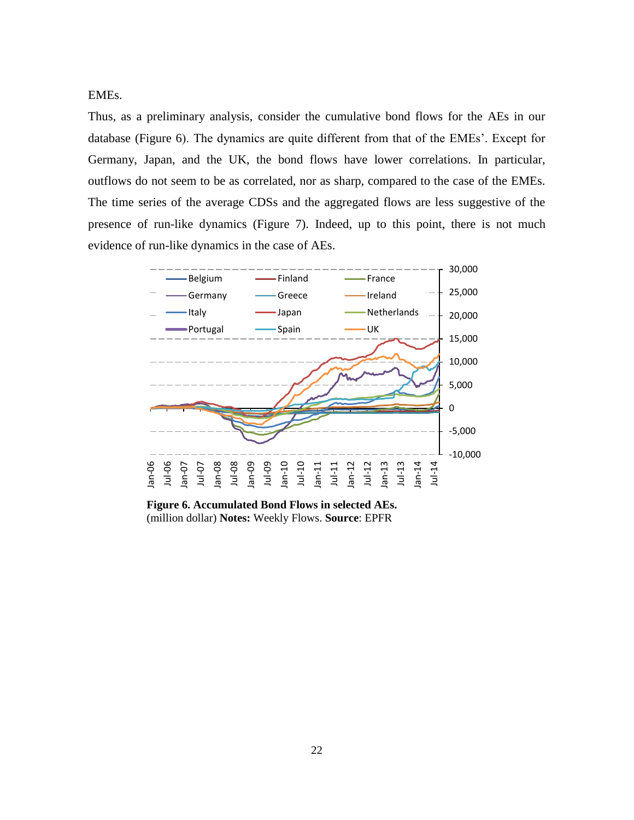EMEs.

Thus, as a preliminary analysis, consider the cumulative bond flows for the AEs in our database (Figure 6). The dynamics are quite different from that of the EMEs'. Except for Germany, Japan, and the UK, the bond flows have lower correlations. In particular, outflows do not seem to be as correlated, nor as sharp, compared to the case of the EMEs. The time series of the average CDSs and the aggregated flows are less suggestive of the presence of run-like dynamics (Figure 7). Indeed, up to this point, there is not much evidence of run-like dynamics in the case of AEs.



**Figure 6. Accumulated Bond Flows in selected AEs.**  (million dollar) **Notes:** Weekly Flows. **Source**: EPFR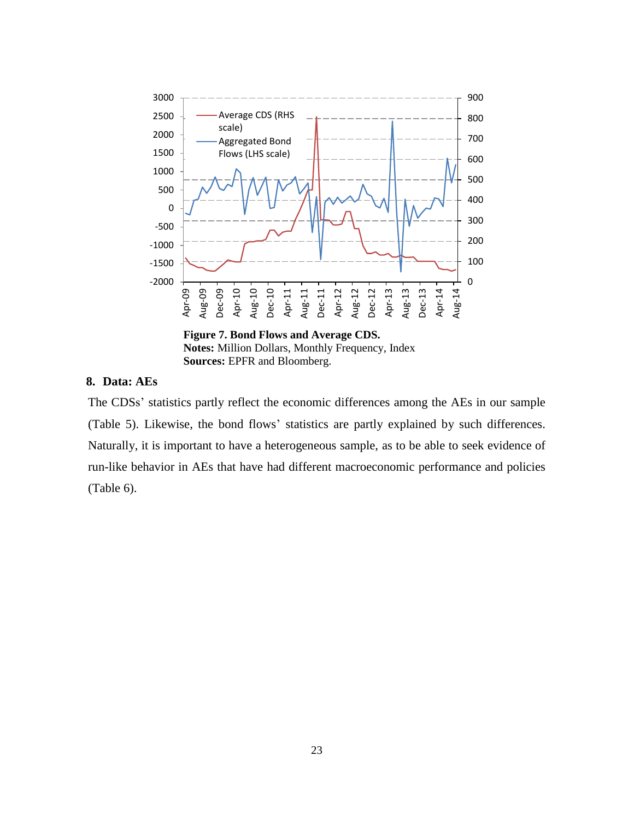

**Notes:** Million Dollars, Monthly Frequency, Index **Sources:** EPFR and Bloomberg.

# **8. Data: AEs**

The CDSs' statistics partly reflect the economic differences among the AEs in our sample (Table 5). Likewise, the bond flows' statistics are partly explained by such differences. Naturally, it is important to have a heterogeneous sample, as to be able to seek evidence of run-like behavior in AEs that have had different macroeconomic performance and policies (Table 6).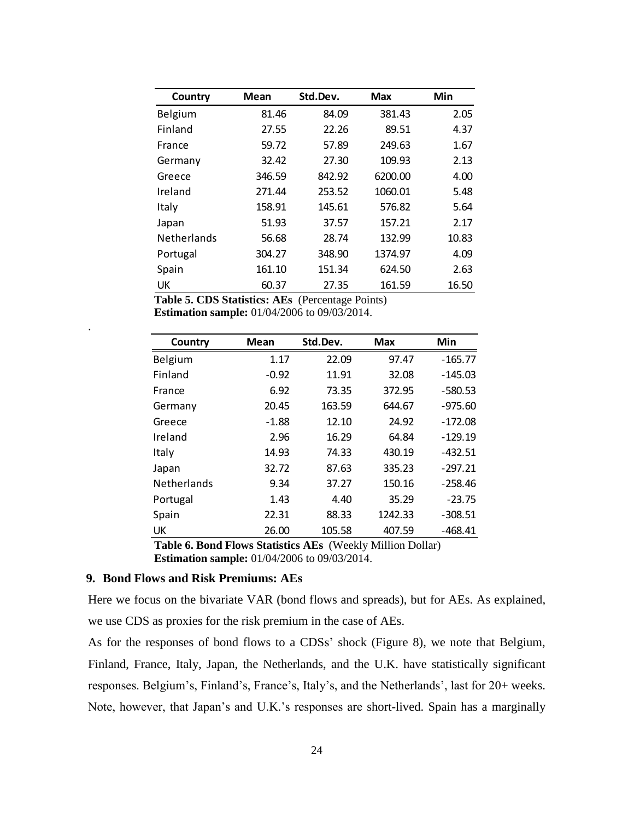| Country            | Mean   | Std.Dev. | <b>Max</b> | Min   |
|--------------------|--------|----------|------------|-------|
| Belgium            | 81.46  | 84.09    | 381.43     | 2.05  |
| Finland            | 27.55  | 22.26    | 89.51      | 4.37  |
| France             | 59.72  | 57.89    | 249.63     | 1.67  |
| Germany            | 32.42  | 27.30    | 109.93     | 2.13  |
| Greece             | 346.59 | 842.92   | 6200.00    | 4.00  |
| Ireland            | 271.44 | 253.52   | 1060.01    | 5.48  |
| Italy              | 158.91 | 145.61   | 576.82     | 5.64  |
| Japan              | 51.93  | 37.57    | 157.21     | 2.17  |
| <b>Netherlands</b> | 56.68  | 28.74    | 132.99     | 10.83 |
| Portugal           | 304.27 | 348.90   | 1374.97    | 4.09  |
| Spain              | 161.10 | 151.34   | 624.50     | 2.63  |
| UK                 | 60.37  | 27.35    | 161.59     | 16.50 |

**Table 5. CDS Statistics: AEs** (Percentage Points)

**Estimation sample:** 01/04/2006 to 09/03/2014.

| Country            | Mean    | Std.Dev. | <b>Max</b> | Min       |
|--------------------|---------|----------|------------|-----------|
| Belgium            | 1.17    | 22.09    | 97.47      | $-165.77$ |
| Finland            | $-0.92$ | 11.91    | 32.08      | $-145.03$ |
| France             | 6.92    | 73.35    | 372.95     | $-580.53$ |
| Germany            | 20.45   | 163.59   | 644.67     | $-975.60$ |
| Greece             | $-1.88$ | 12.10    | 24.92      | $-172.08$ |
| Ireland            | 2.96    | 16.29    | 64.84      | $-129.19$ |
| Italy              | 14.93   | 74.33    | 430.19     | $-432.51$ |
| Japan              | 32.72   | 87.63    | 335.23     | $-297.21$ |
| <b>Netherlands</b> | 9.34    | 37.27    | 150.16     | $-258.46$ |
| Portugal           | 1.43    | 4.40     | 35.29      | $-23.75$  |
| Spain              | 22.31   | 88.33    | 1242.33    | $-308.51$ |
| UK                 | 26.00   | 105.58   | 407.59     | $-468.41$ |

**Table 6. Bond Flows Statistics AEs** (Weekly Million Dollar) **Estimation sample:** 01/04/2006 to 09/03/2014.

### **9. Bond Flows and Risk Premiums: AEs**

.

Here we focus on the bivariate VAR (bond flows and spreads), but for AEs. As explained, we use CDS as proxies for the risk premium in the case of AEs.

As for the responses of bond flows to a CDSs' shock (Figure 8), we note that Belgium, Finland, France, Italy, Japan, the Netherlands, and the U.K. have statistically significant responses. Belgium's, Finland's, France's, Italy's, and the Netherlands', last for 20+ weeks. Note, however, that Japan's and U.K.'s responses are short-lived. Spain has a marginally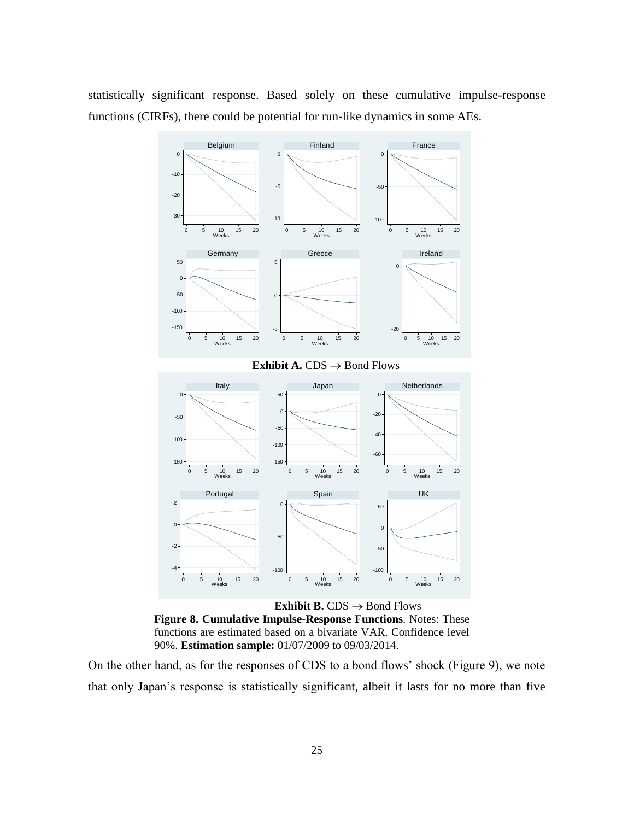statistically significant response. Based solely on these cumulative impulse-response functions (CIRFs), there could be potential for run-like dynamics in some AEs.



**Exhibit B.**  $CDS \rightarrow Bond Flows$ 



On the other hand, as for the responses of CDS to a bond flows' shock (Figure 9), we note that only Japan's response is statistically significant, albeit it lasts for no more than five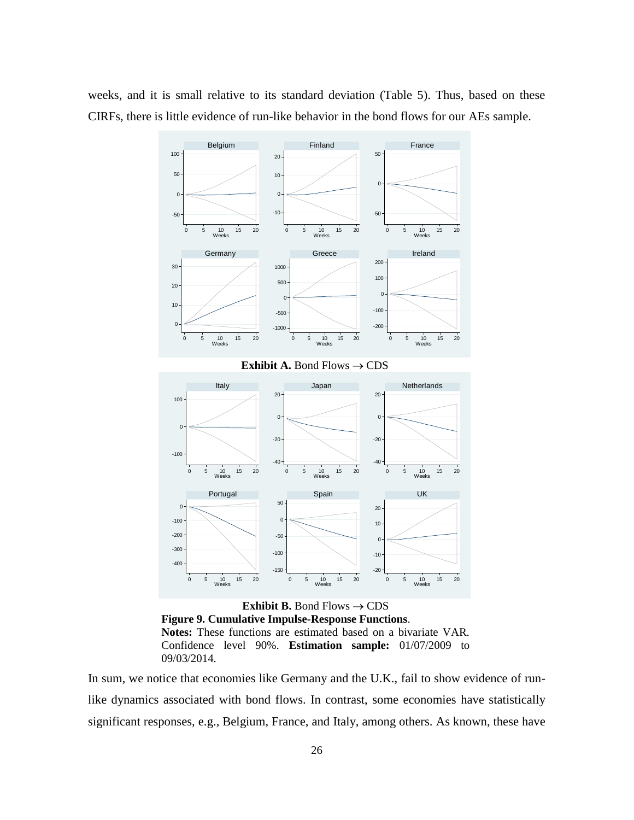weeks, and it is small relative to its standard deviation (Table 5). Thus, based on these CIRFs, there is little evidence of run-like behavior in the bond flows for our AEs sample.



**Exhibit B.** Bond Flows  $\rightarrow$  CDS **Figure 9. Cumulative Impulse-Response Functions**. **Notes:** These functions are estimated based on a bivariate VAR.

Confidence level 90%. **Estimation sample:** 01/07/2009 to 09/03/2014.

In sum, we notice that economies like Germany and the U.K., fail to show evidence of runlike dynamics associated with bond flows. In contrast, some economies have statistically significant responses, e.g., Belgium, France, and Italy, among others. As known, these have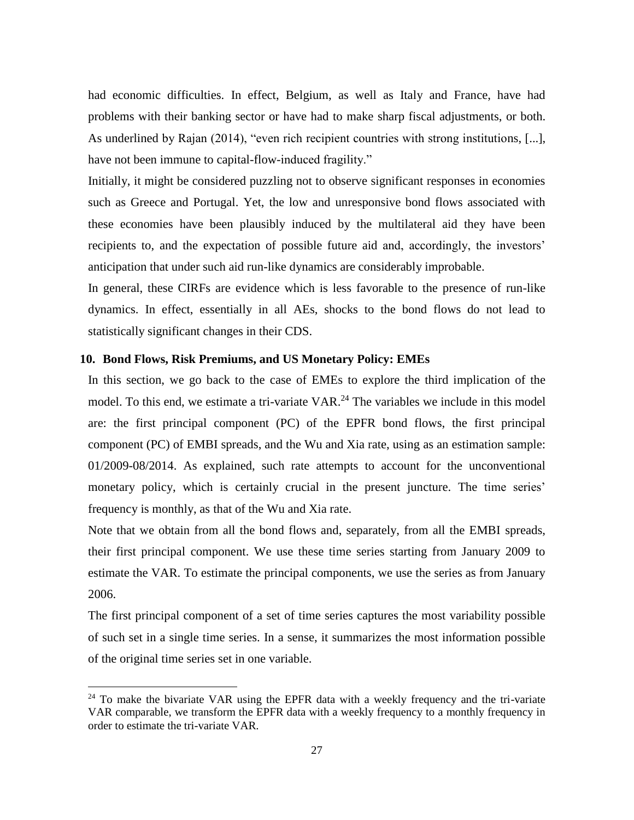had economic difficulties. In effect, Belgium, as well as Italy and France, have had problems with their banking sector or have had to make sharp fiscal adjustments, or both. As underlined by Rajan (2014), "even rich recipient countries with strong institutions, [...], have not been immune to capital-flow-induced fragility."

Initially, it might be considered puzzling not to observe significant responses in economies such as Greece and Portugal. Yet, the low and unresponsive bond flows associated with these economies have been plausibly induced by the multilateral aid they have been recipients to, and the expectation of possible future aid and, accordingly, the investors' anticipation that under such aid run-like dynamics are considerably improbable.

In general, these CIRFs are evidence which is less favorable to the presence of run-like dynamics. In effect, essentially in all AEs, shocks to the bond flows do not lead to statistically significant changes in their CDS.

# **10. Bond Flows, Risk Premiums, and US Monetary Policy: EMEs**

 $\overline{a}$ 

In this section, we go back to the case of EMEs to explore the third implication of the model. To this end, we estimate a tri-variate  $VAR<sup>24</sup>$ . The variables we include in this model are: the first principal component (PC) of the EPFR bond flows, the first principal component (PC) of EMBI spreads, and the Wu and Xia rate, using as an estimation sample: 01/2009-08/2014. As explained, such rate attempts to account for the unconventional monetary policy, which is certainly crucial in the present juncture. The time series' frequency is monthly, as that of the Wu and Xia rate.

Note that we obtain from all the bond flows and, separately, from all the EMBI spreads, their first principal component. We use these time series starting from January 2009 to estimate the VAR. To estimate the principal components, we use the series as from January 2006.

The first principal component of a set of time series captures the most variability possible of such set in a single time series. In a sense, it summarizes the most information possible of the original time series set in one variable.

 $24$  To make the bivariate VAR using the EPFR data with a weekly frequency and the tri-variate VAR comparable, we transform the EPFR data with a weekly frequency to a monthly frequency in order to estimate the tri-variate VAR.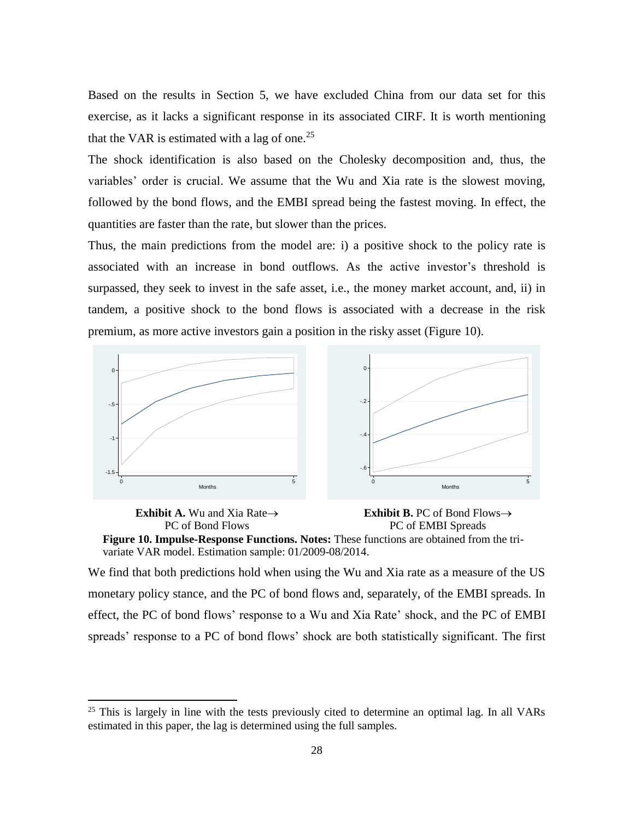Based on the results in Section 5, we have excluded China from our data set for this exercise, as it lacks a significant response in its associated CIRF. It is worth mentioning that the VAR is estimated with a lag of one. $25$ 

The shock identification is also based on the Cholesky decomposition and, thus, the variables' order is crucial. We assume that the Wu and Xia rate is the slowest moving, followed by the bond flows, and the EMBI spread being the fastest moving. In effect, the quantities are faster than the rate, but slower than the prices.

Thus, the main predictions from the model are: i) a positive shock to the policy rate is associated with an increase in bond outflows. As the active investor's threshold is surpassed, they seek to invest in the safe asset, i.e., the money market account, and, ii) in tandem, a positive shock to the bond flows is associated with a decrease in the risk premium, as more active investors gain a position in the risky asset (Figure 10).





 $\ddot{\phantom{a}}$ 





We find that both predictions hold when using the Wu and Xia rate as a measure of the US monetary policy stance, and the PC of bond flows and, separately, of the EMBI spreads. In effect, the PC of bond flows' response to a Wu and Xia Rate' shock, and the PC of EMBI spreads' response to a PC of bond flows' shock are both statistically significant. The first

<sup>&</sup>lt;sup>25</sup> This is largely in line with the tests previously cited to determine an optimal lag. In all VARs estimated in this paper, the lag is determined using the full samples.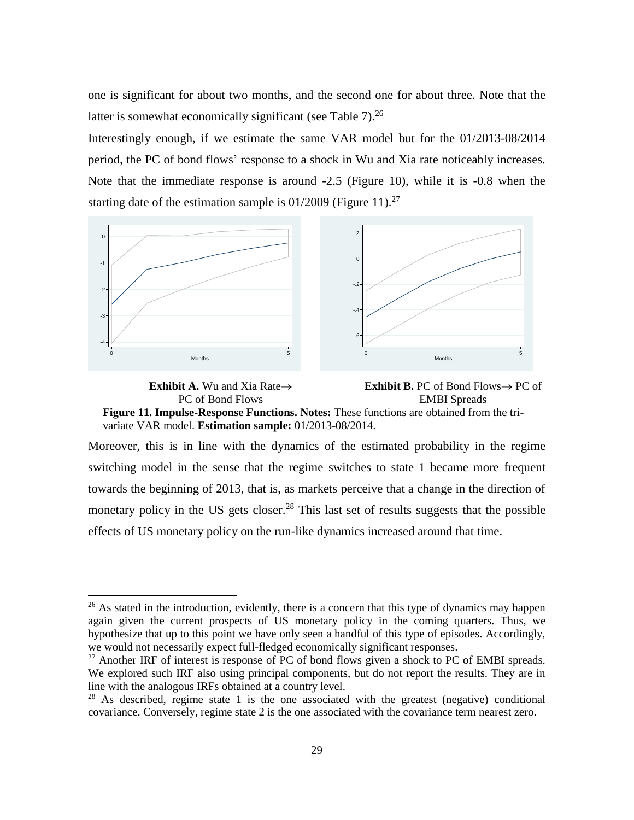one is significant for about two months, and the second one for about three. Note that the latter is somewhat economically significant (see Table 7).<sup>26</sup>

Interestingly enough, if we estimate the same VAR model but for the 01/2013-08/2014 period, the PC of bond flows' response to a shock in Wu and Xia rate noticeably increases. Note that the immediate response is around -2.5 (Figure 10), while it is -0.8 when the starting date of the estimation sample is  $01/2009$  (Figure 11).<sup>27</sup>





 $\ddot{\phantom{a}}$ 



**Figure 11. Impulse-Response Functions. Notes:** These functions are obtained from the trivariate VAR model. **Estimation sample:** 01/2013-08/2014.

Moreover, this is in line with the dynamics of the estimated probability in the regime switching model in the sense that the regime switches to state 1 became more frequent towards the beginning of 2013, that is, as markets perceive that a change in the direction of monetary policy in the US gets closer.<sup>28</sup> This last set of results suggests that the possible effects of US monetary policy on the run-like dynamics increased around that time.

 $26$  As stated in the introduction, evidently, there is a concern that this type of dynamics may happen again given the current prospects of US monetary policy in the coming quarters. Thus, we hypothesize that up to this point we have only seen a handful of this type of episodes. Accordingly, we would not necessarily expect full-fledged economically significant responses.

 $27$  Another IRF of interest is response of PC of bond flows given a shock to PC of EMBI spreads. We explored such IRF also using principal components, but do not report the results. They are in line with the analogous IRFs obtained at a country level.

<sup>&</sup>lt;sup>28</sup> As described, regime state 1 is the one associated with the greatest (negative) conditional covariance. Conversely, regime state 2 is the one associated with the covariance term nearest zero.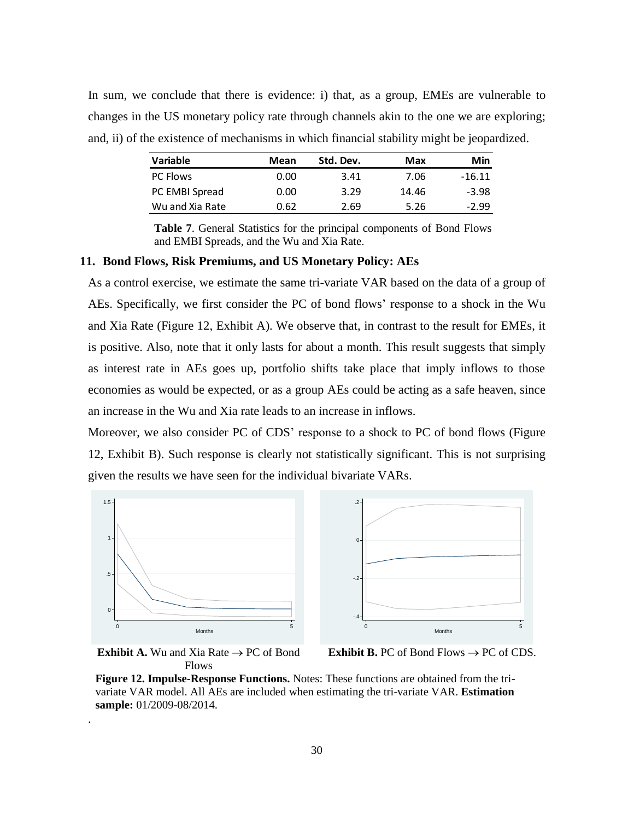In sum, we conclude that there is evidence: i) that, as a group, EMEs are vulnerable to changes in the US monetary policy rate through channels akin to the one we are exploring; and, ii) of the existence of mechanisms in which financial stability might be jeopardized.

| <b>Variable</b> | Mean | Std. Dev. | Max   | Min      |
|-----------------|------|-----------|-------|----------|
| <b>PC Flows</b> | 0.00 | 3.41      | 7.06  | $-16.11$ |
| PC EMBI Spread  | 0.00 | 3.29      | 14.46 | $-3.98$  |
| Wu and Xia Rate | 0.62 | 2.69      | 5.26  | $-2.99$  |

**Table 7**. General Statistics for the principal components of Bond Flows and EMBI Spreads, and the Wu and Xia Rate.

## **11. Bond Flows, Risk Premiums, and US Monetary Policy: AEs**

As a control exercise, we estimate the same tri-variate VAR based on the data of a group of AEs. Specifically, we first consider the PC of bond flows' response to a shock in the Wu and Xia Rate (Figure 12, Exhibit A). We observe that, in contrast to the result for EMEs, it is positive. Also, note that it only lasts for about a month. This result suggests that simply as interest rate in AEs goes up, portfolio shifts take place that imply inflows to those economies as would be expected, or as a group AEs could be acting as a safe heaven, since an increase in the Wu and Xia rate leads to an increase in inflows.

Moreover, we also consider PC of CDS' response to a shock to PC of bond flows (Figure 12, Exhibit B). Such response is clearly not statistically significant. This is not surprising given the results we have seen for the individual bivariate VARs.



**Exhibit A.** Wu and Xia Rate  $\rightarrow$  PC of Bond Flows

.

**Exhibit B.** PC of Bond Flows  $\rightarrow$  PC of CDS.

**Figure 12. Impulse-Response Functions.** Notes: These functions are obtained from the trivariate VAR model. All AEs are included when estimating the tri-variate VAR. **Estimation sample:** 01/2009-08/2014.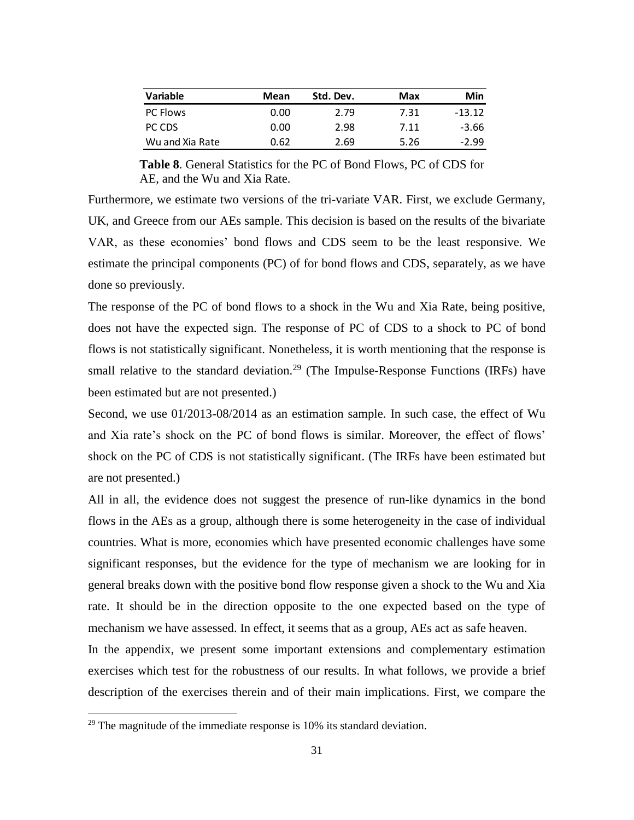| Variable        | Mean | Std. Dev. | Max  | Min      |
|-----------------|------|-----------|------|----------|
| <b>PC Flows</b> | 0.00 | 2.79      | 7.31 | $-13.12$ |
| PC CDS          | 0.00 | 2.98      | 7.11 | -3.66    |
| Wu and Xia Rate | 0.62 | 2.69      | 5.26 | $-2.99$  |

**Table 8**. General Statistics for the PC of Bond Flows, PC of CDS for AE, and the Wu and Xia Rate.

Furthermore, we estimate two versions of the tri-variate VAR. First, we exclude Germany, UK, and Greece from our AEs sample. This decision is based on the results of the bivariate VAR, as these economies' bond flows and CDS seem to be the least responsive. We estimate the principal components (PC) of for bond flows and CDS, separately, as we have done so previously.

The response of the PC of bond flows to a shock in the Wu and Xia Rate, being positive, does not have the expected sign. The response of PC of CDS to a shock to PC of bond flows is not statistically significant. Nonetheless, it is worth mentioning that the response is small relative to the standard deviation.<sup>29</sup> (The Impulse-Response Functions (IRFs) have been estimated but are not presented.)

Second, we use 01/2013-08/2014 as an estimation sample. In such case, the effect of Wu and Xia rate's shock on the PC of bond flows is similar. Moreover, the effect of flows' shock on the PC of CDS is not statistically significant. (The IRFs have been estimated but are not presented.)

All in all, the evidence does not suggest the presence of run-like dynamics in the bond flows in the AEs as a group, although there is some heterogeneity in the case of individual countries. What is more, economies which have presented economic challenges have some significant responses, but the evidence for the type of mechanism we are looking for in general breaks down with the positive bond flow response given a shock to the Wu and Xia rate. It should be in the direction opposite to the one expected based on the type of mechanism we have assessed. In effect, it seems that as a group, AEs act as safe heaven.

In the appendix, we present some important extensions and complementary estimation exercises which test for the robustness of our results. In what follows, we provide a brief description of the exercises therein and of their main implications. First, we compare the

 $\overline{a}$ 

 $29$  The magnitude of the immediate response is 10% its standard deviation.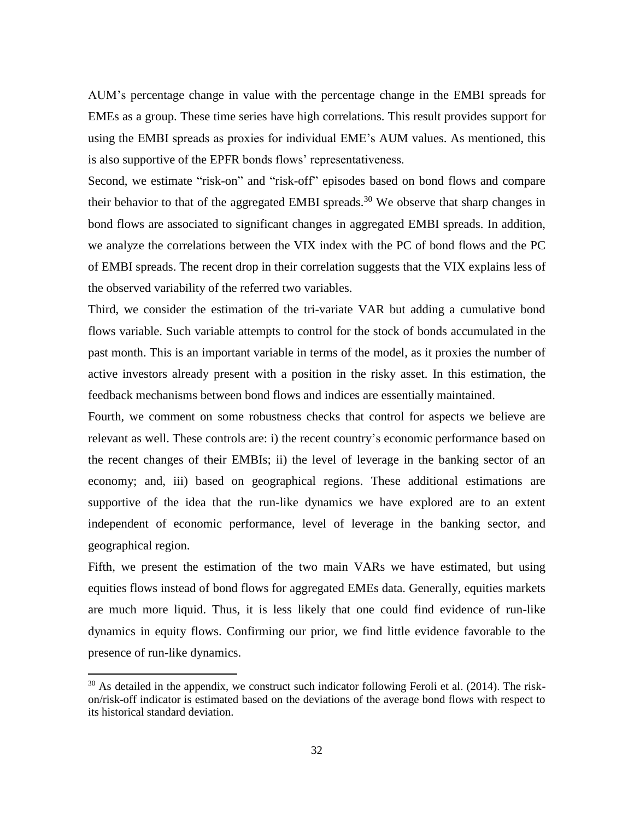AUM's percentage change in value with the percentage change in the EMBI spreads for EMEs as a group. These time series have high correlations. This result provides support for using the EMBI spreads as proxies for individual EME's AUM values. As mentioned, this is also supportive of the EPFR bonds flows' representativeness.

Second, we estimate "risk-on" and "risk-off" episodes based on bond flows and compare their behavior to that of the aggregated EMBI spreads.<sup>30</sup> We observe that sharp changes in bond flows are associated to significant changes in aggregated EMBI spreads. In addition, we analyze the correlations between the VIX index with the PC of bond flows and the PC of EMBI spreads. The recent drop in their correlation suggests that the VIX explains less of the observed variability of the referred two variables.

Third, we consider the estimation of the tri-variate VAR but adding a cumulative bond flows variable. Such variable attempts to control for the stock of bonds accumulated in the past month. This is an important variable in terms of the model, as it proxies the number of active investors already present with a position in the risky asset. In this estimation, the feedback mechanisms between bond flows and indices are essentially maintained.

Fourth, we comment on some robustness checks that control for aspects we believe are relevant as well. These controls are: i) the recent country's economic performance based on the recent changes of their EMBIs; ii) the level of leverage in the banking sector of an economy; and, iii) based on geographical regions. These additional estimations are supportive of the idea that the run-like dynamics we have explored are to an extent independent of economic performance, level of leverage in the banking sector, and geographical region.

Fifth, we present the estimation of the two main VARs we have estimated, but using equities flows instead of bond flows for aggregated EMEs data. Generally, equities markets are much more liquid. Thus, it is less likely that one could find evidence of run-like dynamics in equity flows. Confirming our prior, we find little evidence favorable to the presence of run-like dynamics.

 $\overline{a}$ 

<sup>&</sup>lt;sup>30</sup> As detailed in the appendix, we construct such indicator following Feroli et al. (2014). The riskon/risk-off indicator is estimated based on the deviations of the average bond flows with respect to its historical standard deviation.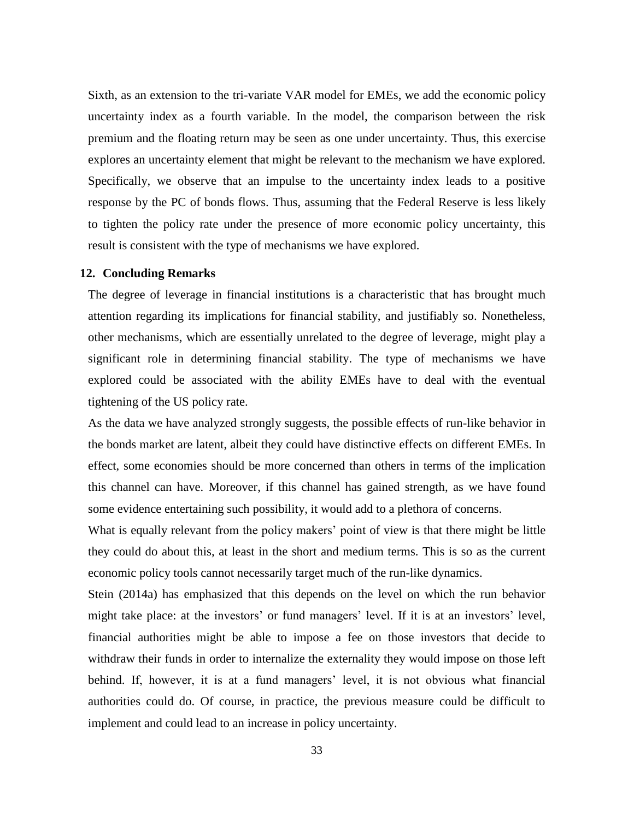Sixth, as an extension to the tri-variate VAR model for EMEs, we add the economic policy uncertainty index as a fourth variable. In the model, the comparison between the risk premium and the floating return may be seen as one under uncertainty. Thus, this exercise explores an uncertainty element that might be relevant to the mechanism we have explored. Specifically, we observe that an impulse to the uncertainty index leads to a positive response by the PC of bonds flows. Thus, assuming that the Federal Reserve is less likely to tighten the policy rate under the presence of more economic policy uncertainty, this result is consistent with the type of mechanisms we have explored.

# **12. Concluding Remarks**

The degree of leverage in financial institutions is a characteristic that has brought much attention regarding its implications for financial stability, and justifiably so. Nonetheless, other mechanisms, which are essentially unrelated to the degree of leverage, might play a significant role in determining financial stability. The type of mechanisms we have explored could be associated with the ability EMEs have to deal with the eventual tightening of the US policy rate.

As the data we have analyzed strongly suggests, the possible effects of run-like behavior in the bonds market are latent, albeit they could have distinctive effects on different EMEs. In effect, some economies should be more concerned than others in terms of the implication this channel can have. Moreover, if this channel has gained strength, as we have found some evidence entertaining such possibility, it would add to a plethora of concerns.

What is equally relevant from the policy makers' point of view is that there might be little they could do about this, at least in the short and medium terms. This is so as the current economic policy tools cannot necessarily target much of the run-like dynamics.

Stein (2014a) has emphasized that this depends on the level on which the run behavior might take place: at the investors' or fund managers' level. If it is at an investors' level, financial authorities might be able to impose a fee on those investors that decide to withdraw their funds in order to internalize the externality they would impose on those left behind. If, however, it is at a fund managers' level, it is not obvious what financial authorities could do. Of course, in practice, the previous measure could be difficult to implement and could lead to an increase in policy uncertainty.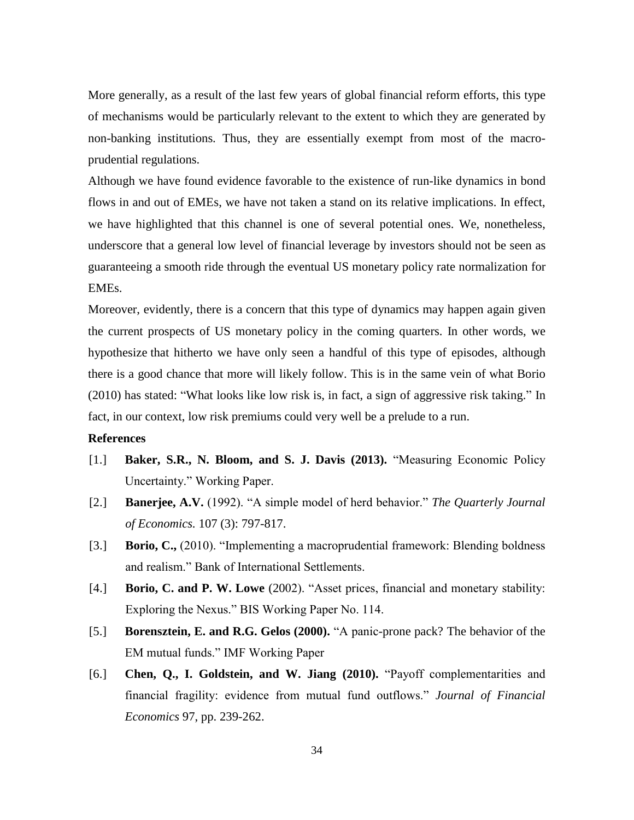More generally, as a result of the last few years of global financial reform efforts, this type of mechanisms would be particularly relevant to the extent to which they are generated by non-banking institutions. Thus, they are essentially exempt from most of the macroprudential regulations.

Although we have found evidence favorable to the existence of run-like dynamics in bond flows in and out of EMEs, we have not taken a stand on its relative implications. In effect, we have highlighted that this channel is one of several potential ones. We, nonetheless, underscore that a general low level of financial leverage by investors should not be seen as guaranteeing a smooth ride through the eventual US monetary policy rate normalization for EMEs.

Moreover, evidently, there is a concern that this type of dynamics may happen again given the current prospects of US monetary policy in the coming quarters. In other words, we hypothesize that hitherto we have only seen a handful of this type of episodes, although there is a good chance that more will likely follow. This is in the same vein of what Borio (2010) has stated: "What looks like low risk is, in fact, a sign of aggressive risk taking." In fact, in our context, low risk premiums could very well be a prelude to a run.

### **References**

- [1.] **Baker, S.R., N. Bloom, and S. J. Davis (2013).** "Measuring Economic Policy Uncertainty." Working Paper.
- [2.] **Banerjee, A.V.** (1992). "A simple model of herd behavior." *The Quarterly Journal of Economics.* 107 (3): 797-817.
- [3.] **Borio, C.,** (2010). "Implementing a macroprudential framework: Blending boldness and realism." Bank of International Settlements.
- [4.] **Borio, C. and P. W. Lowe** (2002). "Asset prices, financial and monetary stability: Exploring the Nexus." BIS Working Paper No. 114.
- [5.] **Borensztein, E. and R.G. Gelos (2000).** "A panic-prone pack? The behavior of the EM mutual funds." IMF Working Paper
- [6.] **Chen, Q., I. Goldstein, and W. Jiang (2010).** "Payoff complementarities and financial fragility: evidence from mutual fund outflows." *Journal of Financial Economics* 97, pp. 239-262.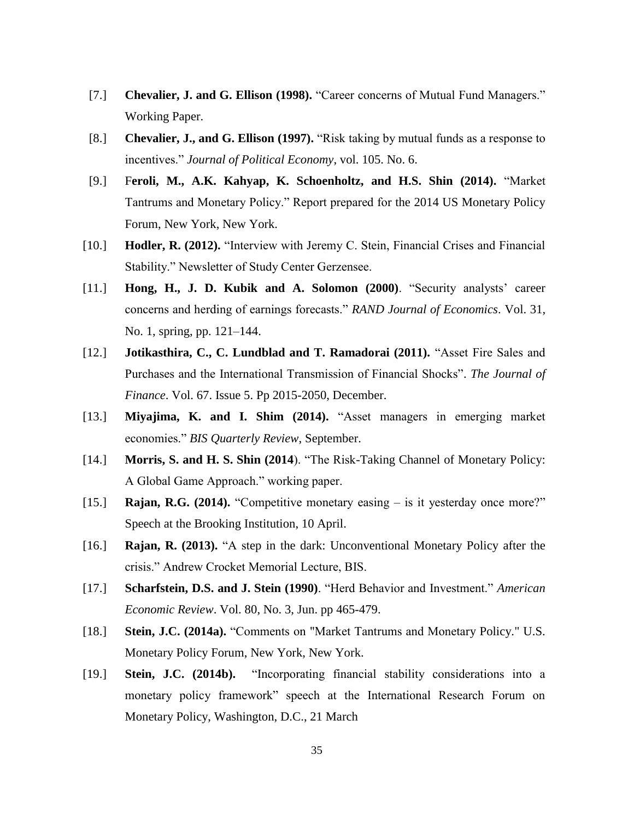- [7.] **Chevalier, J. and G. Ellison (1998).** "Career concerns of Mutual Fund Managers." Working Paper.
- [8.] **Chevalier, J., and G. Ellison (1997).** "Risk taking by mutual funds as a response to incentives." *Journal of Political Economy*, vol. 105. No. 6.
- [9.] F**eroli, M., A.K. Kahyap, K. Schoenholtz, and H.S. Shin (2014).** "Market Tantrums and Monetary Policy." Report prepared for the 2014 US Monetary Policy Forum, New York, New York.
- [10.] **Hodler, R. (2012).** "Interview with Jeremy C. Stein, Financial Crises and Financial Stability." Newsletter of Study Center Gerzensee.
- [11.] **Hong, H., J. D. Kubik and A. Solomon (2000)**. "Security analysts' career concerns and herding of earnings forecasts." *RAND Journal of Economics*. Vol. 31, No. 1, spring, pp. 121–144.
- [12.] **Jotikasthira, C., C. Lundblad and T. Ramadorai (2011).** "Asset Fire Sales and Purchases and the International Transmission of Financial Shocks". *The Journal of Finance*. Vol. 67. Issue 5. Pp 2015-2050, December.
- [13.] **Miyajima, K. and I. Shim (2014).** "Asset managers in emerging market economies." *BIS Quarterly Review*, September.
- [14.] **Morris, S. and H. S. Shin (2014**). "The Risk-Taking Channel of Monetary Policy: A Global Game Approach." working paper.
- [15.] **Rajan, R.G. (2014).** "Competitive monetary easing is it yesterday once more?" Speech at the Brooking Institution, 10 April.
- [16.] **Rajan, R. (2013).** "A step in the dark: Unconventional Monetary Policy after the crisis." Andrew Crocket Memorial Lecture, BIS.
- [17.] **Scharfstein, D.S. and J. Stein (1990)**. "Herd Behavior and Investment." *American Economic Review*. Vol. 80, No. 3, Jun. pp 465-479.
- [18.] **Stein, J.C. (2014a).** "Comments on "Market Tantrums and Monetary Policy." U.S. Monetary Policy Forum, New York, New York.
- [19.] **Stein, J.C. (2014b).** "Incorporating financial stability considerations into a monetary policy framework" speech at the International Research Forum on Monetary Policy, Washington, D.C., 21 March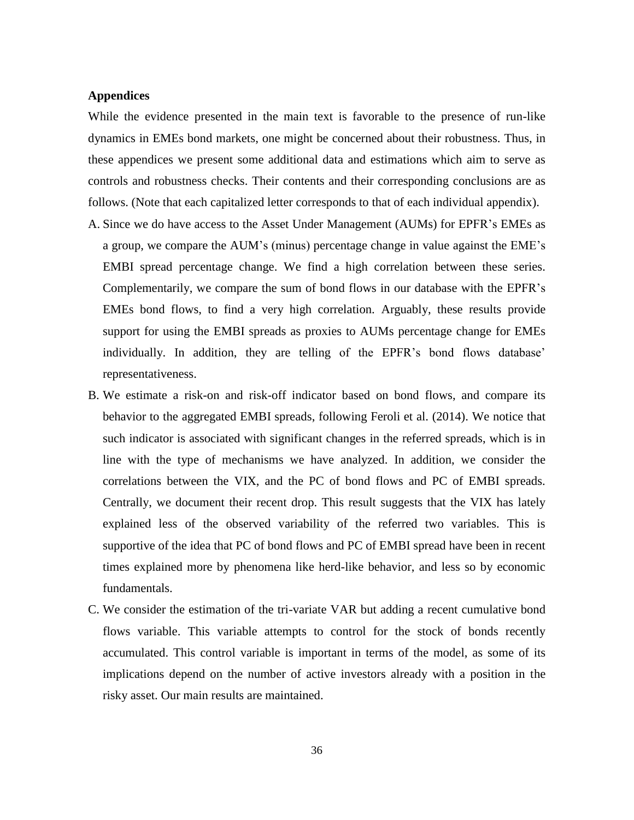### **Appendices**

While the evidence presented in the main text is favorable to the presence of run-like dynamics in EMEs bond markets, one might be concerned about their robustness. Thus, in these appendices we present some additional data and estimations which aim to serve as controls and robustness checks. Their contents and their corresponding conclusions are as follows. (Note that each capitalized letter corresponds to that of each individual appendix).

- A. Since we do have access to the Asset Under Management (AUMs) for EPFR's EMEs as a group, we compare the AUM's (minus) percentage change in value against the EME's EMBI spread percentage change. We find a high correlation between these series. Complementarily, we compare the sum of bond flows in our database with the EPFR's EMEs bond flows, to find a very high correlation. Arguably, these results provide support for using the EMBI spreads as proxies to AUMs percentage change for EMEs individually. In addition, they are telling of the EPFR's bond flows database' representativeness.
- B. We estimate a risk-on and risk-off indicator based on bond flows, and compare its behavior to the aggregated EMBI spreads, following Feroli et al. (2014). We notice that such indicator is associated with significant changes in the referred spreads, which is in line with the type of mechanisms we have analyzed. In addition, we consider the correlations between the VIX, and the PC of bond flows and PC of EMBI spreads. Centrally, we document their recent drop. This result suggests that the VIX has lately explained less of the observed variability of the referred two variables. This is supportive of the idea that PC of bond flows and PC of EMBI spread have been in recent times explained more by phenomena like herd-like behavior, and less so by economic fundamentals.
- C. We consider the estimation of the tri-variate VAR but adding a recent cumulative bond flows variable. This variable attempts to control for the stock of bonds recently accumulated. This control variable is important in terms of the model, as some of its implications depend on the number of active investors already with a position in the risky asset. Our main results are maintained.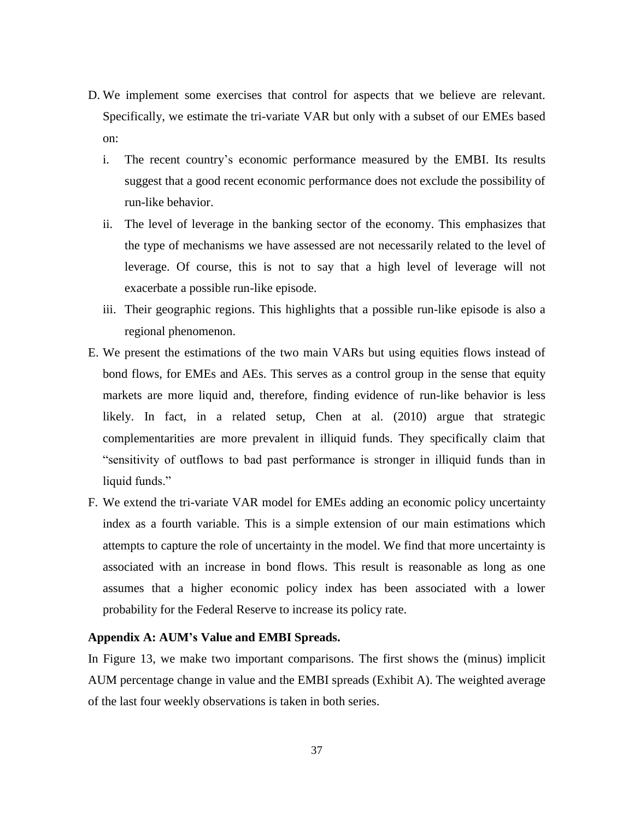- D. We implement some exercises that control for aspects that we believe are relevant. Specifically, we estimate the tri-variate VAR but only with a subset of our EMEs based on:
	- i. The recent country's economic performance measured by the EMBI. Its results suggest that a good recent economic performance does not exclude the possibility of run-like behavior.
	- ii. The level of leverage in the banking sector of the economy. This emphasizes that the type of mechanisms we have assessed are not necessarily related to the level of leverage. Of course, this is not to say that a high level of leverage will not exacerbate a possible run-like episode.
	- iii. Their geographic regions. This highlights that a possible run-like episode is also a regional phenomenon.
- E. We present the estimations of the two main VARs but using equities flows instead of bond flows, for EMEs and AEs. This serves as a control group in the sense that equity markets are more liquid and, therefore, finding evidence of run-like behavior is less likely. In fact, in a related setup, Chen at al. (2010) argue that strategic complementarities are more prevalent in illiquid funds. They specifically claim that "sensitivity of outflows to bad past performance is stronger in illiquid funds than in liquid funds."
- F. We extend the tri-variate VAR model for EMEs adding an economic policy uncertainty index as a fourth variable. This is a simple extension of our main estimations which attempts to capture the role of uncertainty in the model. We find that more uncertainty is associated with an increase in bond flows. This result is reasonable as long as one assumes that a higher economic policy index has been associated with a lower probability for the Federal Reserve to increase its policy rate.

## **Appendix A: AUM's Value and EMBI Spreads.**

In Figure 13, we make two important comparisons. The first shows the (minus) implicit AUM percentage change in value and the EMBI spreads (Exhibit A). The weighted average of the last four weekly observations is taken in both series.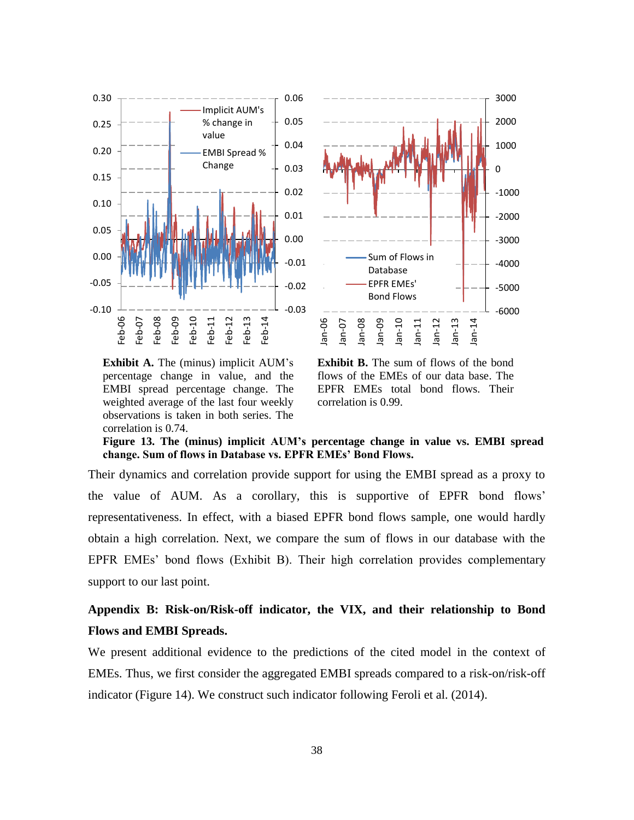

**Exhibit A.** The (minus) implicit AUM's percentage change in value, and the EMBI spread percentage change. The weighted average of the last four weekly observations is taken in both series. The correlation is 0.74.



**Exhibit B.** The sum of flows of the bond flows of the EMEs of our data base. The EPFR EMEs total bond flows. Their correlation is 0.99.

**Figure 13. The (minus) implicit AUM's percentage change in value vs. EMBI spread change. Sum of flows in Database vs. EPFR EMEs' Bond Flows.** 

Their dynamics and correlation provide support for using the EMBI spread as a proxy to the value of AUM. As a corollary, this is supportive of EPFR bond flows' representativeness. In effect, with a biased EPFR bond flows sample, one would hardly obtain a high correlation. Next, we compare the sum of flows in our database with the EPFR EMEs' bond flows (Exhibit B). Their high correlation provides complementary support to our last point.

# **Appendix B: Risk-on/Risk-off indicator, the VIX, and their relationship to Bond Flows and EMBI Spreads.**

We present additional evidence to the predictions of the cited model in the context of EMEs. Thus, we first consider the aggregated EMBI spreads compared to a risk-on/risk-off indicator (Figure 14). We construct such indicator following Feroli et al. (2014).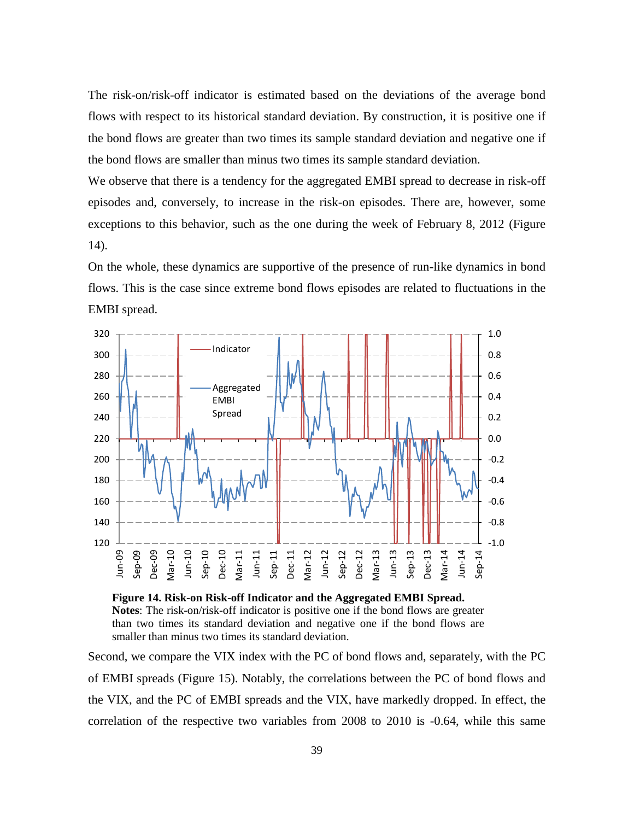The risk-on/risk-off indicator is estimated based on the deviations of the average bond flows with respect to its historical standard deviation. By construction, it is positive one if the bond flows are greater than two times its sample standard deviation and negative one if the bond flows are smaller than minus two times its sample standard deviation.

We observe that there is a tendency for the aggregated EMBI spread to decrease in risk-off episodes and, conversely, to increase in the risk-on episodes. There are, however, some exceptions to this behavior, such as the one during the week of February 8, 2012 (Figure 14).

On the whole, these dynamics are supportive of the presence of run-like dynamics in bond flows. This is the case since extreme bond flows episodes are related to fluctuations in the EMBI spread.



**Figure 14. Risk-on Risk-off Indicator and the Aggregated EMBI Spread. Notes**: The risk-on/risk-off indicator is positive one if the bond flows are greater than two times its standard deviation and negative one if the bond flows are smaller than minus two times its standard deviation.

Second, we compare the VIX index with the PC of bond flows and, separately, with the PC of EMBI spreads (Figure 15). Notably, the correlations between the PC of bond flows and the VIX, and the PC of EMBI spreads and the VIX, have markedly dropped. In effect, the correlation of the respective two variables from 2008 to 2010 is -0.64, while this same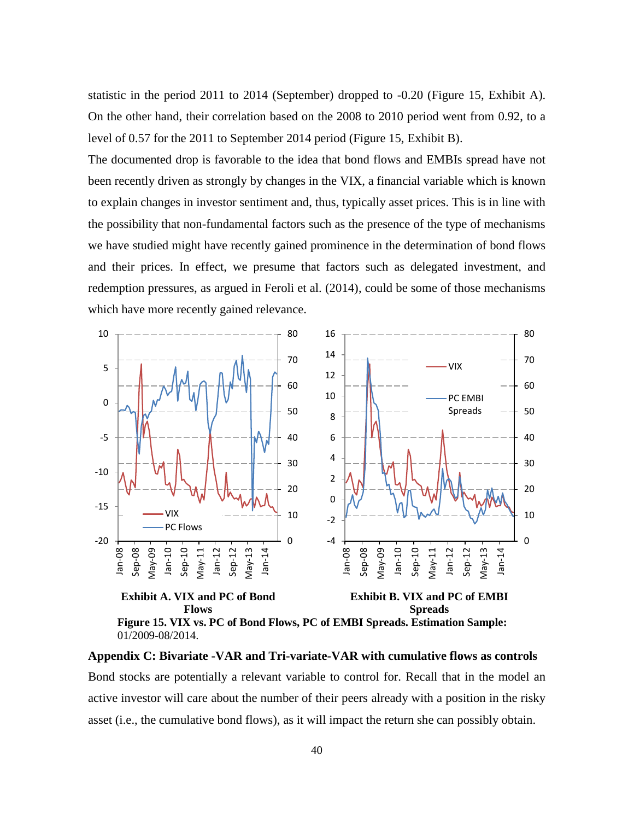statistic in the period 2011 to 2014 (September) dropped to -0.20 (Figure 15, Exhibit A). On the other hand, their correlation based on the 2008 to 2010 period went from 0.92, to a level of 0.57 for the 2011 to September 2014 period (Figure 15, Exhibit B).

The documented drop is favorable to the idea that bond flows and EMBIs spread have not been recently driven as strongly by changes in the VIX, a financial variable which is known to explain changes in investor sentiment and, thus, typically asset prices. This is in line with the possibility that non-fundamental factors such as the presence of the type of mechanisms we have studied might have recently gained prominence in the determination of bond flows and their prices. In effect, we presume that factors such as delegated investment, and redemption pressures, as argued in Feroli et al. (2014), could be some of those mechanisms which have more recently gained relevance.



**Appendix C: Bivariate -VAR and Tri-variate-VAR with cumulative flows as controls** Bond stocks are potentially a relevant variable to control for. Recall that in the model an active investor will care about the number of their peers already with a position in the risky asset (i.e., the cumulative bond flows), as it will impact the return she can possibly obtain.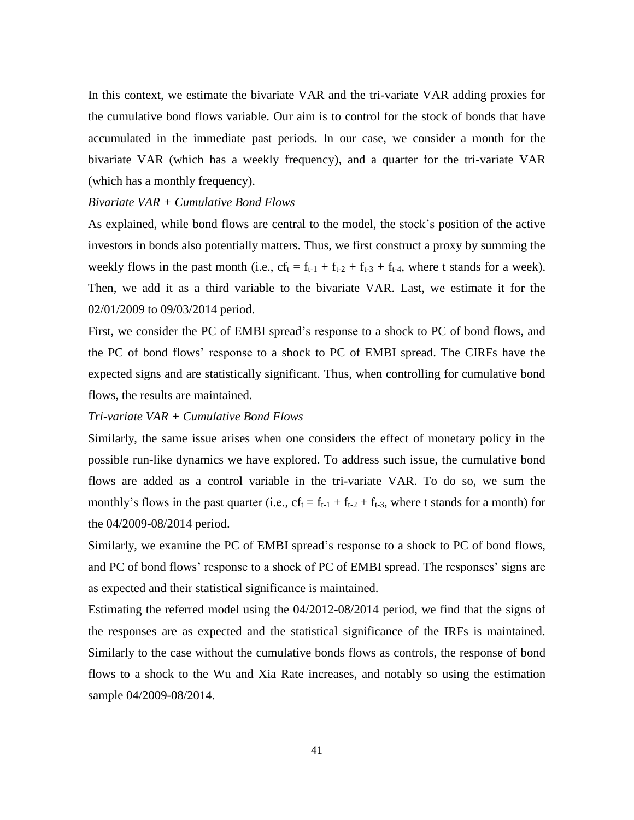In this context, we estimate the bivariate VAR and the tri-variate VAR adding proxies for the cumulative bond flows variable. Our aim is to control for the stock of bonds that have accumulated in the immediate past periods. In our case, we consider a month for the bivariate VAR (which has a weekly frequency), and a quarter for the tri-variate VAR (which has a monthly frequency).

### *Bivariate VAR + Cumulative Bond Flows*

As explained, while bond flows are central to the model, the stock's position of the active investors in bonds also potentially matters. Thus, we first construct a proxy by summing the weekly flows in the past month (i.e.,  $cf_t = f_{t-1} + f_{t-2} + f_{t-3} + f_{t-4}$ , where t stands for a week). Then, we add it as a third variable to the bivariate VAR. Last, we estimate it for the 02/01/2009 to 09/03/2014 period.

First, we consider the PC of EMBI spread's response to a shock to PC of bond flows, and the PC of bond flows' response to a shock to PC of EMBI spread. The CIRFs have the expected signs and are statistically significant. Thus, when controlling for cumulative bond flows, the results are maintained.

*Tri-variate VAR + Cumulative Bond Flows* 

Similarly, the same issue arises when one considers the effect of monetary policy in the possible run-like dynamics we have explored. To address such issue, the cumulative bond flows are added as a control variable in the tri-variate VAR. To do so, we sum the monthly's flows in the past quarter (i.e.,  $cf_t = f_{t-1} + f_{t-2} + f_{t-3}$ , where t stands for a month) for the 04/2009-08/2014 period.

Similarly, we examine the PC of EMBI spread's response to a shock to PC of bond flows, and PC of bond flows' response to a shock of PC of EMBI spread. The responses' signs are as expected and their statistical significance is maintained.

Estimating the referred model using the 04/2012-08/2014 period, we find that the signs of the responses are as expected and the statistical significance of the IRFs is maintained. Similarly to the case without the cumulative bonds flows as controls, the response of bond flows to a shock to the Wu and Xia Rate increases, and notably so using the estimation sample 04/2009-08/2014.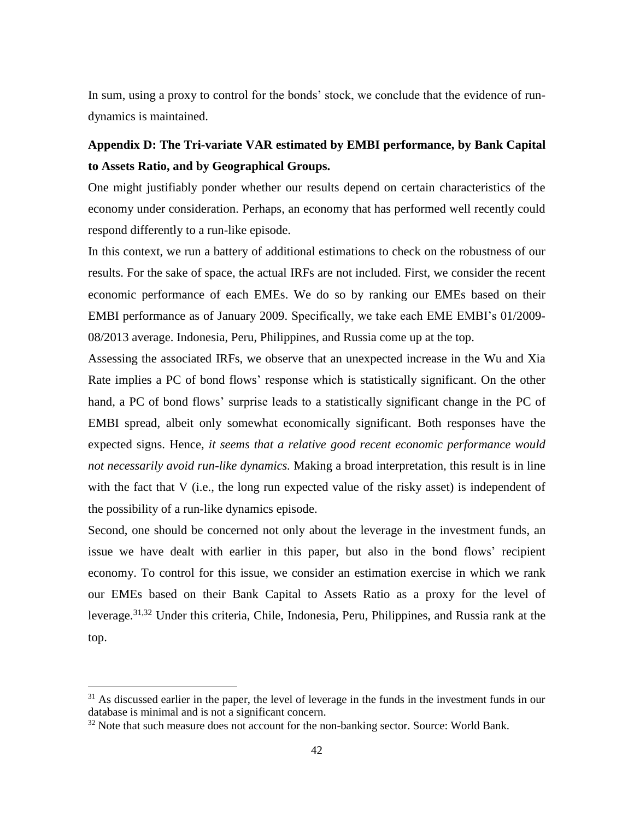In sum, using a proxy to control for the bonds' stock, we conclude that the evidence of rundynamics is maintained.

# **Appendix D: The Tri-variate VAR estimated by EMBI performance, by Bank Capital to Assets Ratio, and by Geographical Groups.**

One might justifiably ponder whether our results depend on certain characteristics of the economy under consideration. Perhaps, an economy that has performed well recently could respond differently to a run-like episode.

In this context, we run a battery of additional estimations to check on the robustness of our results. For the sake of space, the actual IRFs are not included. First, we consider the recent economic performance of each EMEs. We do so by ranking our EMEs based on their EMBI performance as of January 2009. Specifically, we take each EME EMBI's 01/2009- 08/2013 average. Indonesia, Peru, Philippines, and Russia come up at the top.

Assessing the associated IRFs, we observe that an unexpected increase in the Wu and Xia Rate implies a PC of bond flows' response which is statistically significant. On the other hand, a PC of bond flows' surprise leads to a statistically significant change in the PC of EMBI spread, albeit only somewhat economically significant. Both responses have the expected signs. Hence, *it seems that a relative good recent economic performance would not necessarily avoid run-like dynamics.* Making a broad interpretation, this result is in line with the fact that V (i.e., the long run expected value of the risky asset) is independent of the possibility of a run-like dynamics episode.

Second, one should be concerned not only about the leverage in the investment funds, an issue we have dealt with earlier in this paper, but also in the bond flows' recipient economy. To control for this issue, we consider an estimation exercise in which we rank our EMEs based on their Bank Capital to Assets Ratio as a proxy for the level of leverage.31,32 Under this criteria, Chile, Indonesia, Peru, Philippines, and Russia rank at the top.

 $\overline{a}$ 

 $31$  As discussed earlier in the paper, the level of leverage in the funds in the investment funds in our database is minimal and is not a significant concern.

<sup>&</sup>lt;sup>32</sup> Note that such measure does not account for the non-banking sector. Source: World Bank.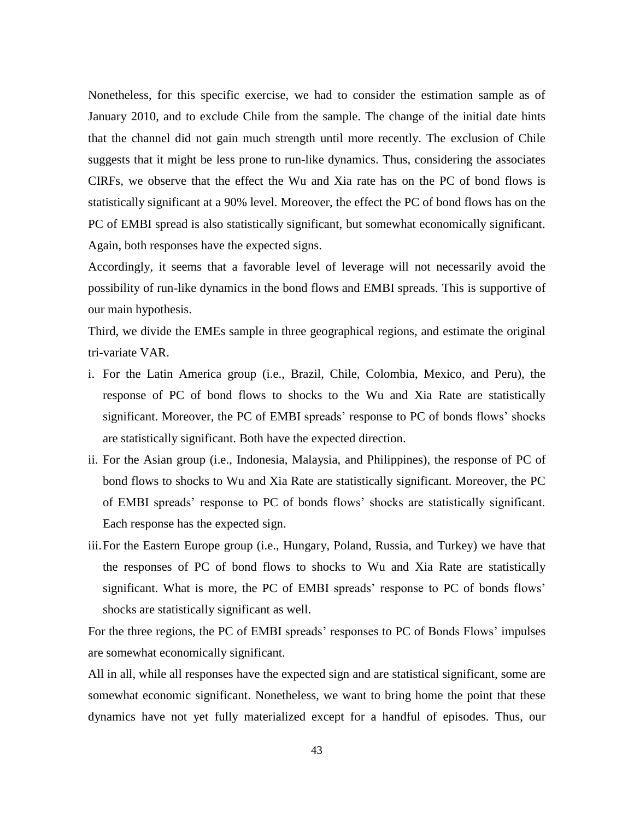Nonetheless, for this specific exercise, we had to consider the estimation sample as of January 2010, and to exclude Chile from the sample. The change of the initial date hints that the channel did not gain much strength until more recently. The exclusion of Chile suggests that it might be less prone to run-like dynamics. Thus, considering the associates CIRFs, we observe that the effect the Wu and Xia rate has on the PC of bond flows is statistically significant at a 90% level. Moreover, the effect the PC of bond flows has on the PC of EMBI spread is also statistically significant, but somewhat economically significant. Again, both responses have the expected signs.

Accordingly, it seems that a favorable level of leverage will not necessarily avoid the possibility of run-like dynamics in the bond flows and EMBI spreads. This is supportive of our main hypothesis.

Third, we divide the EMEs sample in three geographical regions, and estimate the original tri-variate VAR.

- i. For the Latin America group (i.e., Brazil, Chile, Colombia, Mexico, and Peru), the response of PC of bond flows to shocks to the Wu and Xia Rate are statistically significant. Moreover, the PC of EMBI spreads' response to PC of bonds flows' shocks are statistically significant. Both have the expected direction.
- ii. For the Asian group (i.e., Indonesia, Malaysia, and Philippines), the response of PC of bond flows to shocks to Wu and Xia Rate are statistically significant. Moreover, the PC of EMBI spreads' response to PC of bonds flows' shocks are statistically significant. Each response has the expected sign.
- iii.For the Eastern Europe group (i.e., Hungary, Poland, Russia, and Turkey) we have that the responses of PC of bond flows to shocks to Wu and Xia Rate are statistically significant. What is more, the PC of EMBI spreads' response to PC of bonds flows' shocks are statistically significant as well.

For the three regions, the PC of EMBI spreads' responses to PC of Bonds Flows' impulses are somewhat economically significant.

All in all, while all responses have the expected sign and are statistical significant, some are somewhat economic significant. Nonetheless, we want to bring home the point that these dynamics have not yet fully materialized except for a handful of episodes. Thus, our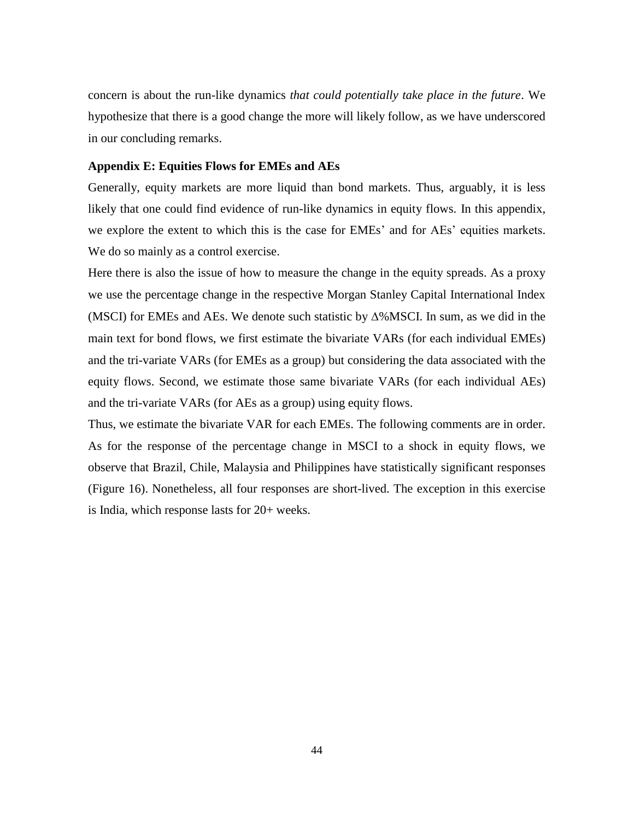concern is about the run-like dynamics *that could potentially take place in the future*. We hypothesize that there is a good change the more will likely follow, as we have underscored in our concluding remarks.

## **Appendix E: Equities Flows for EMEs and AEs**

Generally, equity markets are more liquid than bond markets. Thus, arguably, it is less likely that one could find evidence of run-like dynamics in equity flows. In this appendix, we explore the extent to which this is the case for EMEs' and for AEs' equities markets. We do so mainly as a control exercise.

Here there is also the issue of how to measure the change in the equity spreads. As a proxy we use the percentage change in the respective Morgan Stanley Capital International Index (MSCI) for EMEs and AEs. We denote such statistic by  $\Delta\%$ MSCI. In sum, as we did in the main text for bond flows, we first estimate the bivariate VARs (for each individual EMEs) and the tri-variate VARs (for EMEs as a group) but considering the data associated with the equity flows. Second, we estimate those same bivariate VARs (for each individual AEs) and the tri-variate VARs (for AEs as a group) using equity flows.

Thus, we estimate the bivariate VAR for each EMEs. The following comments are in order. As for the response of the percentage change in MSCI to a shock in equity flows, we observe that Brazil, Chile, Malaysia and Philippines have statistically significant responses (Figure 16). Nonetheless, all four responses are short-lived. The exception in this exercise is India, which response lasts for 20+ weeks.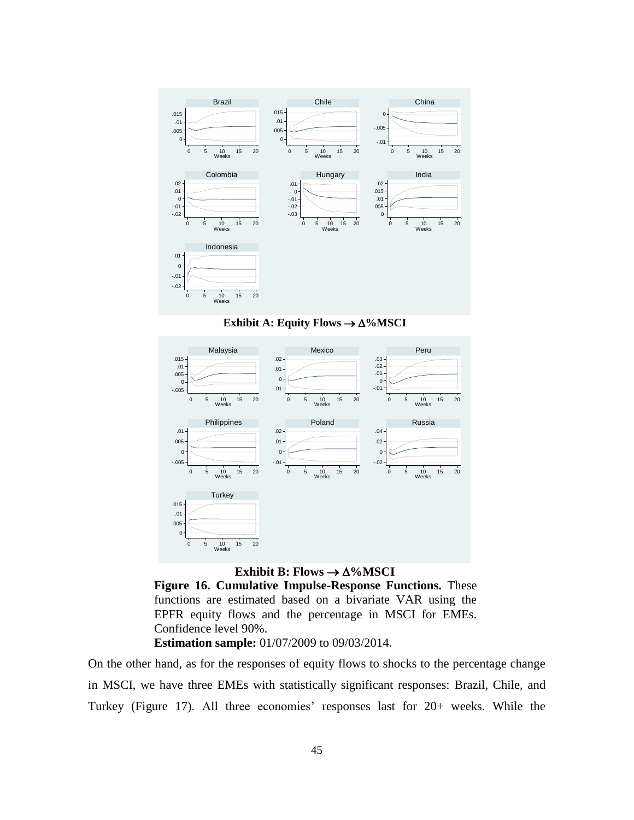

**Exhibit A: Equity Flows**  $\rightarrow \Delta\%$  **MSCI** 



**Exhibit B: Flows**  $\rightarrow \Delta\%$  **MSCI** 

**Figure 16. Cumulative Impulse-Response Functions.** These functions are estimated based on a bivariate VAR using the EPFR equity flows and the percentage in MSCI for EMEs. Confidence level 90%.

**Estimation sample:** 01/07/2009 to 09/03/2014.

On the other hand, as for the responses of equity flows to shocks to the percentage change in MSCI, we have three EMEs with statistically significant responses: Brazil, Chile, and Turkey (Figure 17). All three economies' responses last for 20+ weeks. While the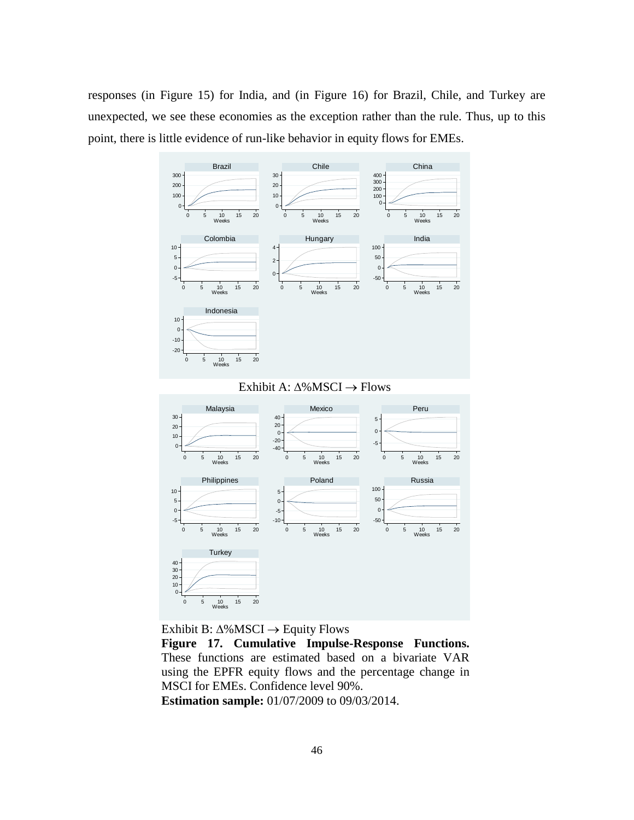responses (in Figure 15) for India, and (in Figure 16) for Brazil, Chile, and Turkey are unexpected, we see these economies as the exception rather than the rule. Thus, up to this point, there is little evidence of run-like behavior in equity flows for EMEs.





**Figure 17. Cumulative Impulse-Response Functions.** These functions are estimated based on a bivariate VAR using the EPFR equity flows and the percentage change in MSCI for EMEs. Confidence level 90%. **Estimation sample:** 01/07/2009 to 09/03/2014.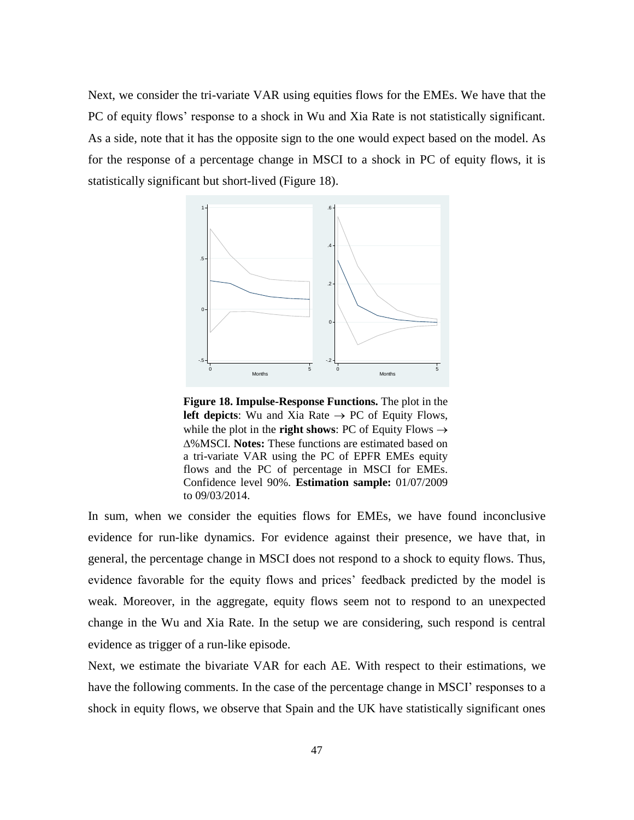Next, we consider the tri-variate VAR using equities flows for the EMEs. We have that the PC of equity flows' response to a shock in Wu and Xia Rate is not statistically significant. As a side, note that it has the opposite sign to the one would expect based on the model. As for the response of a percentage change in MSCI to a shock in PC of equity flows, it is statistically significant but short-lived (Figure 18).



**Figure 18. Impulse-Response Functions.** The plot in the **left depicts**: Wu and Xia Rate  $\rightarrow$  PC of Equity Flows, while the plot in the **right shows**: PC of Equity Flows  $\rightarrow$ %MSCI. **Notes:** These functions are estimated based on a tri-variate VAR using the PC of EPFR EMEs equity flows and the PC of percentage in MSCI for EMEs. Confidence level 90%. **Estimation sample:** 01/07/2009 to 09/03/2014.

In sum, when we consider the equities flows for EMEs, we have found inconclusive evidence for run-like dynamics. For evidence against their presence, we have that, in general, the percentage change in MSCI does not respond to a shock to equity flows. Thus, evidence favorable for the equity flows and prices' feedback predicted by the model is weak. Moreover, in the aggregate, equity flows seem not to respond to an unexpected change in the Wu and Xia Rate. In the setup we are considering, such respond is central evidence as trigger of a run-like episode.

Next, we estimate the bivariate VAR for each AE. With respect to their estimations, we have the following comments. In the case of the percentage change in MSCI' responses to a shock in equity flows, we observe that Spain and the UK have statistically significant ones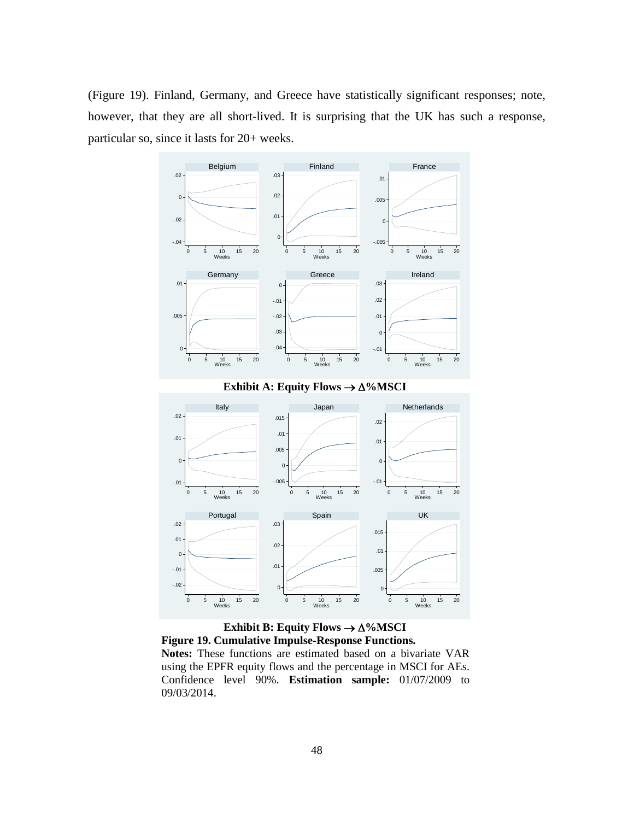(Figure 19). Finland, Germany, and Greece have statistically significant responses; note, however, that they are all short-lived. It is surprising that the UK has such a response, particular so, since it lasts for 20+ weeks.



**Exhibit B: Equity Flows**  $\rightarrow \Delta\%$  **MSCI Figure 19. Cumulative Impulse-Response Functions.** 

**Notes:** These functions are estimated based on a bivariate VAR using the EPFR equity flows and the percentage in MSCI for AEs. Confidence level 90%. **Estimation sample:** 01/07/2009 to 09/03/2014.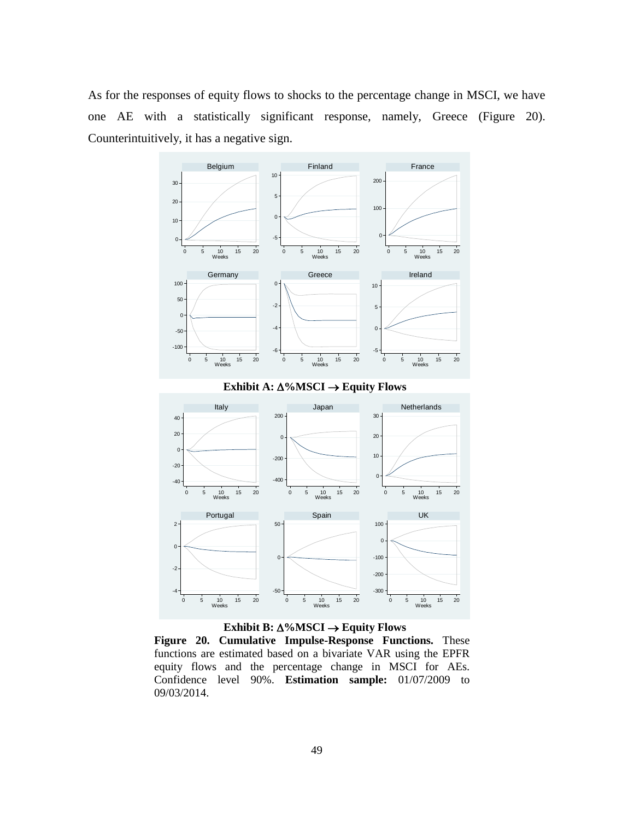As for the responses of equity flows to shocks to the percentage change in MSCI, we have one AE with a statistically significant response, namely, Greece (Figure 20). Counterintuitively, it has a negative sign.





**Figure 20. Cumulative Impulse-Response Functions.** These functions are estimated based on a bivariate VAR using the EPFR equity flows and the percentage change in MSCI for AEs. Confidence level 90%. **Estimation sample:** 01/07/2009 to 09/03/2014.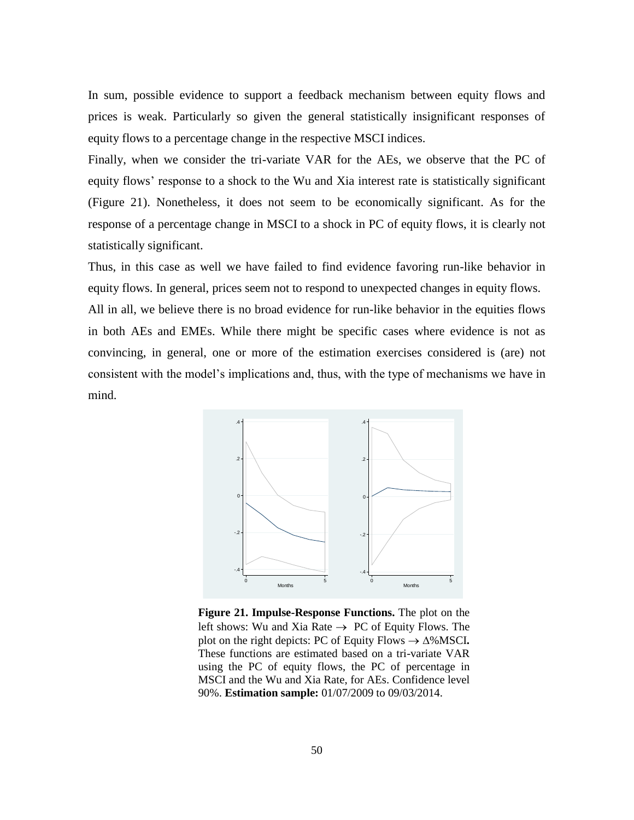In sum, possible evidence to support a feedback mechanism between equity flows and prices is weak. Particularly so given the general statistically insignificant responses of equity flows to a percentage change in the respective MSCI indices.

Finally, when we consider the tri-variate VAR for the AEs, we observe that the PC of equity flows' response to a shock to the Wu and Xia interest rate is statistically significant (Figure 21). Nonetheless, it does not seem to be economically significant. As for the response of a percentage change in MSCI to a shock in PC of equity flows, it is clearly not statistically significant.

Thus, in this case as well we have failed to find evidence favoring run-like behavior in equity flows. In general, prices seem not to respond to unexpected changes in equity flows. All in all, we believe there is no broad evidence for run-like behavior in the equities flows in both AEs and EMEs. While there might be specific cases where evidence is not as convincing, in general, one or more of the estimation exercises considered is (are) not consistent with the model's implications and, thus, with the type of mechanisms we have in mind.



**Figure 21. Impulse-Response Functions.** The plot on the left shows: Wu and Xia Rate  $\rightarrow$  PC of Equity Flows. The plot on the right depicts: PC of Equity Flows  $\rightarrow \Delta\%$  MSCI. These functions are estimated based on a tri-variate VAR using the PC of equity flows, the PC of percentage in MSCI and the Wu and Xia Rate, for AEs. Confidence level 90%. **Estimation sample:** 01/07/2009 to 09/03/2014.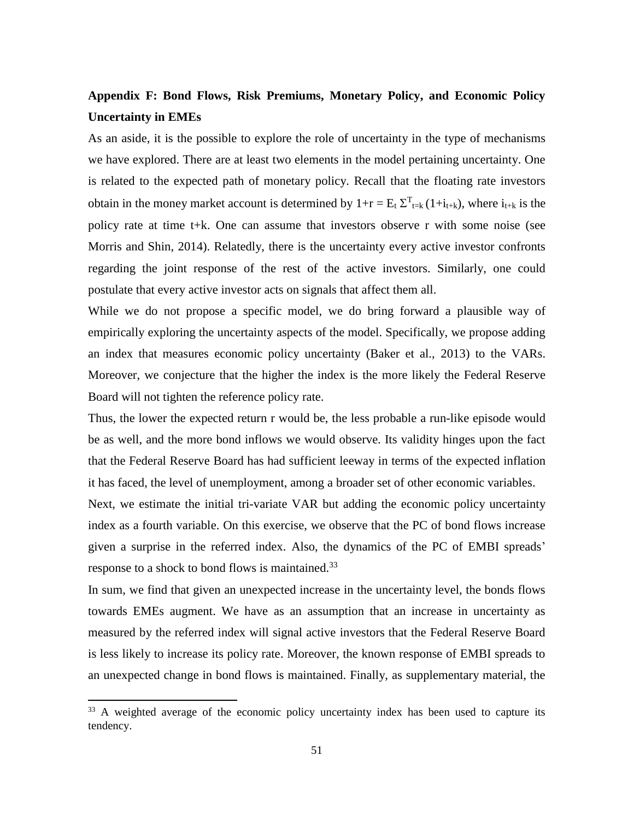# **Appendix F: Bond Flows, Risk Premiums, Monetary Policy, and Economic Policy Uncertainty in EMEs**

As an aside, it is the possible to explore the role of uncertainty in the type of mechanisms we have explored. There are at least two elements in the model pertaining uncertainty. One is related to the expected path of monetary policy. Recall that the floating rate investors obtain in the money market account is determined by  $1+r = E_t \sum_{t=k}^{T} (1+i_{t+k})$ , where  $i_{t+k}$  is the policy rate at time t+k. One can assume that investors observe r with some noise (see Morris and Shin, 2014). Relatedly, there is the uncertainty every active investor confronts regarding the joint response of the rest of the active investors. Similarly, one could postulate that every active investor acts on signals that affect them all.

While we do not propose a specific model, we do bring forward a plausible way of empirically exploring the uncertainty aspects of the model. Specifically, we propose adding an index that measures economic policy uncertainty (Baker et al., 2013) to the VARs. Moreover, we conjecture that the higher the index is the more likely the Federal Reserve Board will not tighten the reference policy rate.

Thus, the lower the expected return r would be, the less probable a run-like episode would be as well, and the more bond inflows we would observe. Its validity hinges upon the fact that the Federal Reserve Board has had sufficient leeway in terms of the expected inflation it has faced, the level of unemployment, among a broader set of other economic variables.

Next, we estimate the initial tri-variate VAR but adding the economic policy uncertainty index as a fourth variable. On this exercise, we observe that the PC of bond flows increase given a surprise in the referred index. Also, the dynamics of the PC of EMBI spreads' response to a shock to bond flows is maintained.<sup>33</sup>

In sum, we find that given an unexpected increase in the uncertainty level, the bonds flows towards EMEs augment. We have as an assumption that an increase in uncertainty as measured by the referred index will signal active investors that the Federal Reserve Board is less likely to increase its policy rate. Moreover, the known response of EMBI spreads to an unexpected change in bond flows is maintained. Finally, as supplementary material, the

 $\ddot{\phantom{a}}$ 

<sup>&</sup>lt;sup>33</sup> A weighted average of the economic policy uncertainty index has been used to capture its tendency.